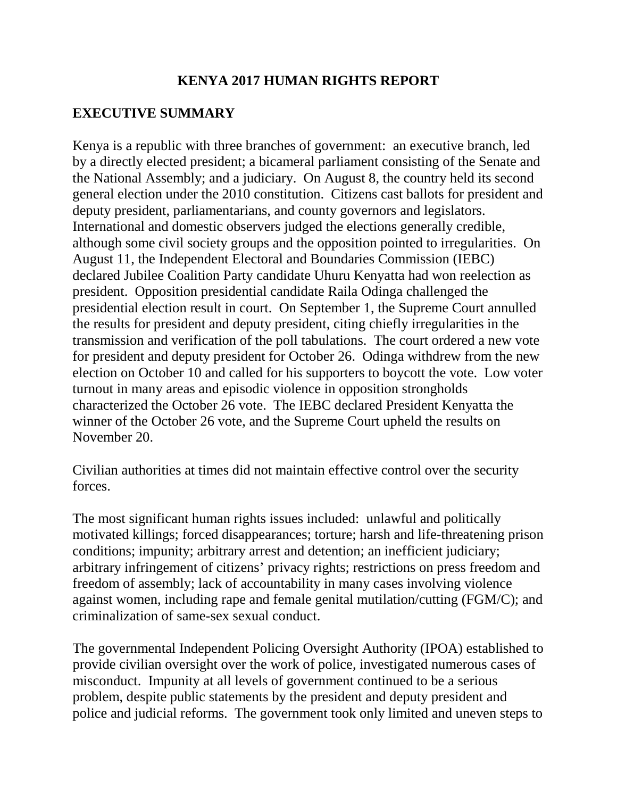### **KENYA 2017 HUMAN RIGHTS REPORT**

### **EXECUTIVE SUMMARY**

Kenya is a republic with three branches of government: an executive branch, led by a directly elected president; a bicameral parliament consisting of the Senate and the National Assembly; and a judiciary. On August 8, the country held its second general election under the 2010 constitution. Citizens cast ballots for president and deputy president, parliamentarians, and county governors and legislators. International and domestic observers judged the elections generally credible, although some civil society groups and the opposition pointed to irregularities. On August 11, the Independent Electoral and Boundaries Commission (IEBC) declared Jubilee Coalition Party candidate Uhuru Kenyatta had won reelection as president. Opposition presidential candidate Raila Odinga challenged the presidential election result in court. On September 1, the Supreme Court annulled the results for president and deputy president, citing chiefly irregularities in the transmission and verification of the poll tabulations. The court ordered a new vote for president and deputy president for October 26. Odinga withdrew from the new election on October 10 and called for his supporters to boycott the vote. Low voter turnout in many areas and episodic violence in opposition strongholds characterized the October 26 vote. The IEBC declared President Kenyatta the winner of the October 26 vote, and the Supreme Court upheld the results on November 20.

Civilian authorities at times did not maintain effective control over the security forces.

The most significant human rights issues included: unlawful and politically motivated killings; forced disappearances; torture; harsh and life-threatening prison conditions; impunity; arbitrary arrest and detention; an inefficient judiciary; arbitrary infringement of citizens' privacy rights; restrictions on press freedom and freedom of assembly; lack of accountability in many cases involving violence against women, including rape and female genital mutilation/cutting (FGM/C); and criminalization of same-sex sexual conduct.

The governmental Independent Policing Oversight Authority (IPOA) established to provide civilian oversight over the work of police, investigated numerous cases of misconduct. Impunity at all levels of government continued to be a serious problem, despite public statements by the president and deputy president and police and judicial reforms. The government took only limited and uneven steps to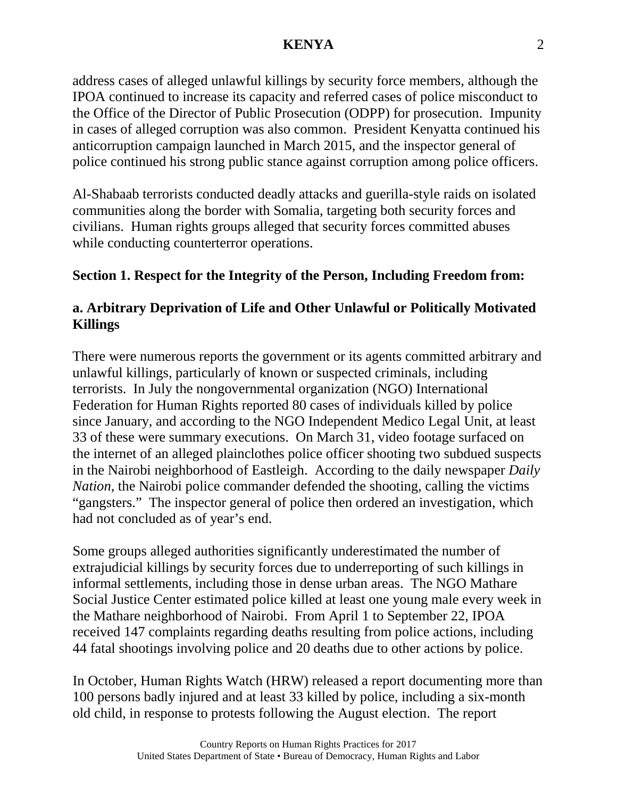address cases of alleged unlawful killings by security force members, although the IPOA continued to increase its capacity and referred cases of police misconduct to the Office of the Director of Public Prosecution (ODPP) for prosecution. Impunity in cases of alleged corruption was also common. President Kenyatta continued his anticorruption campaign launched in March 2015, and the inspector general of police continued his strong public stance against corruption among police officers.

Al-Shabaab terrorists conducted deadly attacks and guerilla-style raids on isolated communities along the border with Somalia, targeting both security forces and civilians. Human rights groups alleged that security forces committed abuses while conducting counterterror operations.

# **Section 1. Respect for the Integrity of the Person, Including Freedom from:**

# **a. Arbitrary Deprivation of Life and Other Unlawful or Politically Motivated Killings**

There were numerous reports the government or its agents committed arbitrary and unlawful killings, particularly of known or suspected criminals, including terrorists. In July the nongovernmental organization (NGO) International Federation for Human Rights reported 80 cases of individuals killed by police since January, and according to the NGO Independent Medico Legal Unit, at least 33 of these were summary executions. On March 31, video footage surfaced on the internet of an alleged plainclothes police officer shooting two subdued suspects in the Nairobi neighborhood of Eastleigh. According to the daily newspaper *Daily Nation*, the Nairobi police commander defended the shooting, calling the victims "gangsters." The inspector general of police then ordered an investigation, which had not concluded as of year's end.

Some groups alleged authorities significantly underestimated the number of extrajudicial killings by security forces due to underreporting of such killings in informal settlements, including those in dense urban areas. The NGO Mathare Social Justice Center estimated police killed at least one young male every week in the Mathare neighborhood of Nairobi. From April 1 to September 22, IPOA received 147 complaints regarding deaths resulting from police actions, including 44 fatal shootings involving police and 20 deaths due to other actions by police.

In October, Human Rights Watch (HRW) released a report documenting more than 100 persons badly injured and at least 33 killed by police, including a six-month old child, in response to protests following the August election. The report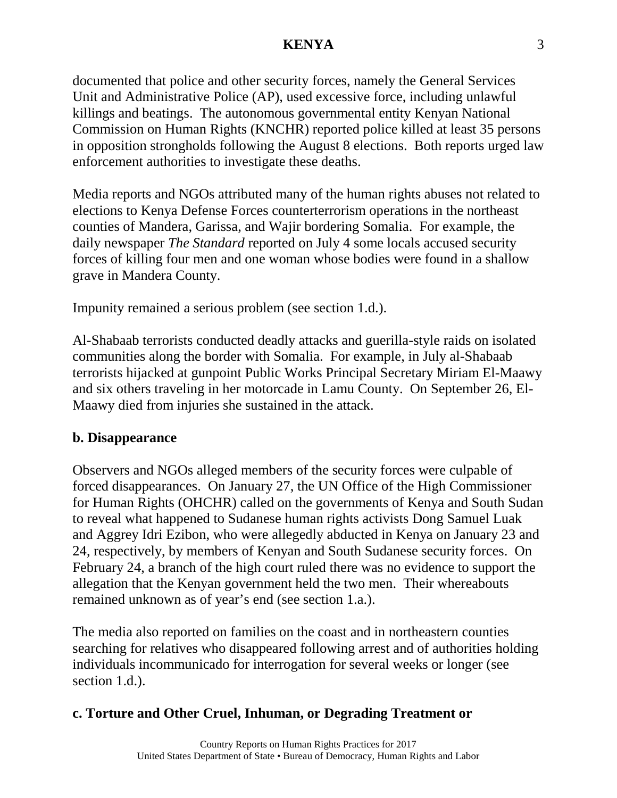documented that police and other security forces, namely the General Services Unit and Administrative Police (AP), used excessive force, including unlawful killings and beatings. The autonomous governmental entity Kenyan National Commission on Human Rights (KNCHR) reported police killed at least 35 persons in opposition strongholds following the August 8 elections. Both reports urged law enforcement authorities to investigate these deaths.

Media reports and NGOs attributed many of the human rights abuses not related to elections to Kenya Defense Forces counterterrorism operations in the northeast counties of Mandera, Garissa, and Wajir bordering Somalia. For example, the daily newspaper *The Standard* reported on July 4 some locals accused security forces of killing four men and one woman whose bodies were found in a shallow grave in Mandera County.

Impunity remained a serious problem (see section 1.d.).

Al-Shabaab terrorists conducted deadly attacks and guerilla-style raids on isolated communities along the border with Somalia. For example, in July al-Shabaab terrorists hijacked at gunpoint Public Works Principal Secretary Miriam El-Maawy and six others traveling in her motorcade in Lamu County. On September 26, El-Maawy died from injuries she sustained in the attack.

### **b. Disappearance**

Observers and NGOs alleged members of the security forces were culpable of forced disappearances. On January 27, the UN Office of the High Commissioner for Human Rights (OHCHR) called on the governments of Kenya and South Sudan to reveal what happened to Sudanese human rights activists Dong Samuel Luak and Aggrey Idri Ezibon, who were allegedly abducted in Kenya on January 23 and 24, respectively, by members of Kenyan and South Sudanese security forces. On February 24, a branch of the high court ruled there was no evidence to support the allegation that the Kenyan government held the two men. Their whereabouts remained unknown as of year's end (see section 1.a.).

The media also reported on families on the coast and in northeastern counties searching for relatives who disappeared following arrest and of authorities holding individuals incommunicado for interrogation for several weeks or longer (see section 1.d.).

# **c. Torture and Other Cruel, Inhuman, or Degrading Treatment or**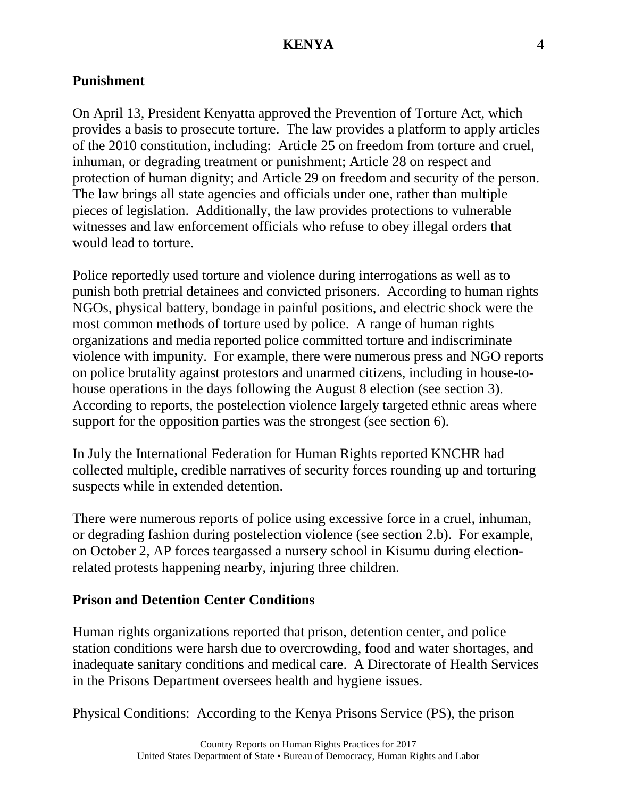#### **Punishment**

On April 13, President Kenyatta approved the Prevention of Torture Act, which provides a basis to prosecute torture. The law provides a platform to apply articles of the 2010 constitution, including: Article 25 on freedom from torture and cruel, inhuman, or degrading treatment or punishment; Article 28 on respect and protection of human dignity; and Article 29 on freedom and security of the person. The law brings all state agencies and officials under one, rather than multiple pieces of legislation. Additionally, the law provides protections to vulnerable witnesses and law enforcement officials who refuse to obey illegal orders that would lead to torture.

Police reportedly used torture and violence during interrogations as well as to punish both pretrial detainees and convicted prisoners. According to human rights NGOs, physical battery, bondage in painful positions, and electric shock were the most common methods of torture used by police. A range of human rights organizations and media reported police committed torture and indiscriminate violence with impunity. For example, there were numerous press and NGO reports on police brutality against protestors and unarmed citizens, including in house-tohouse operations in the days following the August 8 election (see section 3). According to reports, the postelection violence largely targeted ethnic areas where support for the opposition parties was the strongest (see section 6).

In July the International Federation for Human Rights reported KNCHR had collected multiple, credible narratives of security forces rounding up and torturing suspects while in extended detention.

There were numerous reports of police using excessive force in a cruel, inhuman, or degrading fashion during postelection violence (see section 2.b). For example, on October 2, AP forces teargassed a nursery school in Kisumu during electionrelated protests happening nearby, injuring three children.

#### **Prison and Detention Center Conditions**

Human rights organizations reported that prison, detention center, and police station conditions were harsh due to overcrowding, food and water shortages, and inadequate sanitary conditions and medical care. A Directorate of Health Services in the Prisons Department oversees health and hygiene issues.

Physical Conditions: According to the Kenya Prisons Service (PS), the prison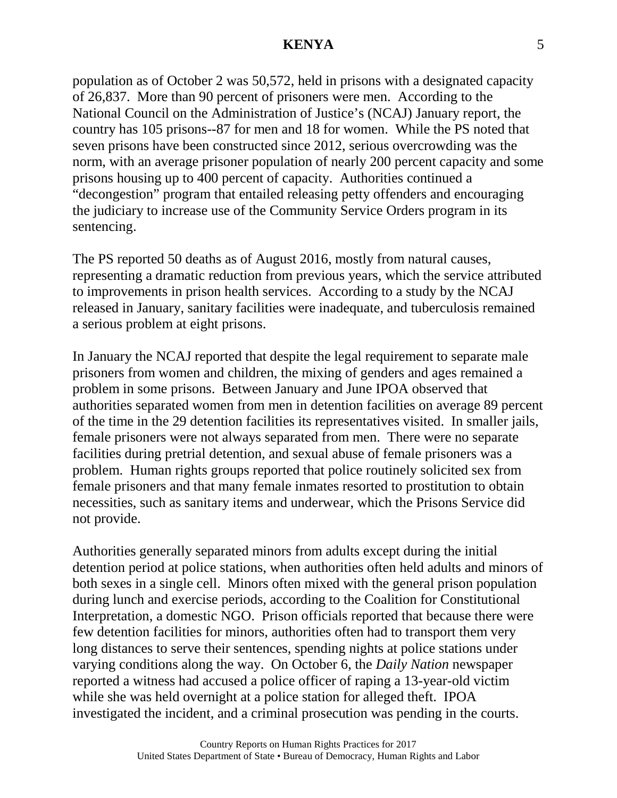population as of October 2 was 50,572, held in prisons with a designated capacity of 26,837. More than 90 percent of prisoners were men. According to the National Council on the Administration of Justice's (NCAJ) January report, the country has 105 prisons--87 for men and 18 for women. While the PS noted that seven prisons have been constructed since 2012, serious overcrowding was the norm, with an average prisoner population of nearly 200 percent capacity and some prisons housing up to 400 percent of capacity. Authorities continued a "decongestion" program that entailed releasing petty offenders and encouraging the judiciary to increase use of the Community Service Orders program in its sentencing.

The PS reported 50 deaths as of August 2016, mostly from natural causes, representing a dramatic reduction from previous years, which the service attributed to improvements in prison health services. According to a study by the NCAJ released in January, sanitary facilities were inadequate, and tuberculosis remained a serious problem at eight prisons.

In January the NCAJ reported that despite the legal requirement to separate male prisoners from women and children, the mixing of genders and ages remained a problem in some prisons. Between January and June IPOA observed that authorities separated women from men in detention facilities on average 89 percent of the time in the 29 detention facilities its representatives visited. In smaller jails, female prisoners were not always separated from men. There were no separate facilities during pretrial detention, and sexual abuse of female prisoners was a problem. Human rights groups reported that police routinely solicited sex from female prisoners and that many female inmates resorted to prostitution to obtain necessities, such as sanitary items and underwear, which the Prisons Service did not provide.

Authorities generally separated minors from adults except during the initial detention period at police stations, when authorities often held adults and minors of both sexes in a single cell. Minors often mixed with the general prison population during lunch and exercise periods, according to the Coalition for Constitutional Interpretation, a domestic NGO. Prison officials reported that because there were few detention facilities for minors, authorities often had to transport them very long distances to serve their sentences, spending nights at police stations under varying conditions along the way. On October 6, the *Daily Nation* newspaper reported a witness had accused a police officer of raping a 13-year-old victim while she was held overnight at a police station for alleged theft. IPOA investigated the incident, and a criminal prosecution was pending in the courts.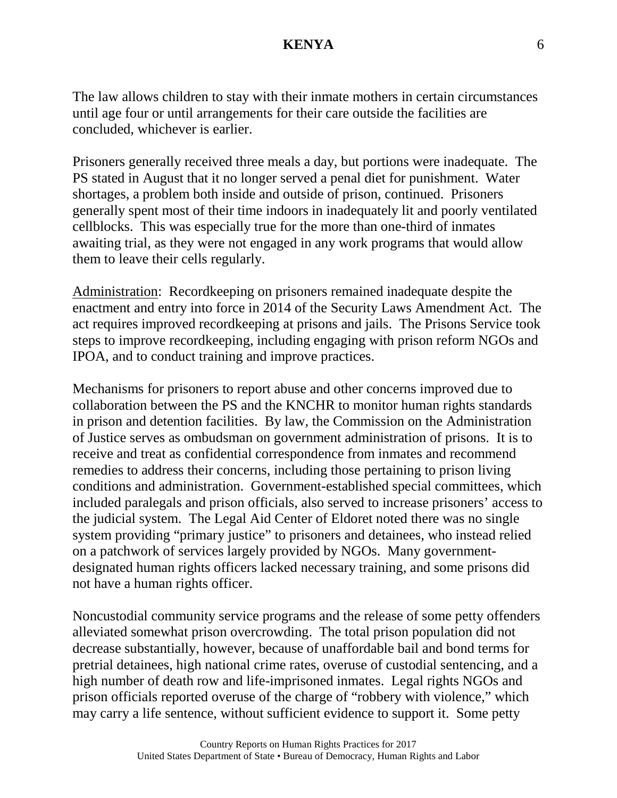The law allows children to stay with their inmate mothers in certain circumstances until age four or until arrangements for their care outside the facilities are concluded, whichever is earlier.

Prisoners generally received three meals a day, but portions were inadequate. The PS stated in August that it no longer served a penal diet for punishment. Water shortages, a problem both inside and outside of prison, continued. Prisoners generally spent most of their time indoors in inadequately lit and poorly ventilated cellblocks. This was especially true for the more than one-third of inmates awaiting trial, as they were not engaged in any work programs that would allow them to leave their cells regularly.

Administration: Recordkeeping on prisoners remained inadequate despite the enactment and entry into force in 2014 of the Security Laws Amendment Act. The act requires improved recordkeeping at prisons and jails. The Prisons Service took steps to improve recordkeeping, including engaging with prison reform NGOs and IPOA, and to conduct training and improve practices.

Mechanisms for prisoners to report abuse and other concerns improved due to collaboration between the PS and the KNCHR to monitor human rights standards in prison and detention facilities. By law, the Commission on the Administration of Justice serves as ombudsman on government administration of prisons. It is to receive and treat as confidential correspondence from inmates and recommend remedies to address their concerns, including those pertaining to prison living conditions and administration. Government-established special committees, which included paralegals and prison officials, also served to increase prisoners' access to the judicial system. The Legal Aid Center of Eldoret noted there was no single system providing "primary justice" to prisoners and detainees, who instead relied on a patchwork of services largely provided by NGOs. Many governmentdesignated human rights officers lacked necessary training, and some prisons did not have a human rights officer.

Noncustodial community service programs and the release of some petty offenders alleviated somewhat prison overcrowding. The total prison population did not decrease substantially, however, because of unaffordable bail and bond terms for pretrial detainees, high national crime rates, overuse of custodial sentencing, and a high number of death row and life-imprisoned inmates. Legal rights NGOs and prison officials reported overuse of the charge of "robbery with violence," which may carry a life sentence, without sufficient evidence to support it. Some petty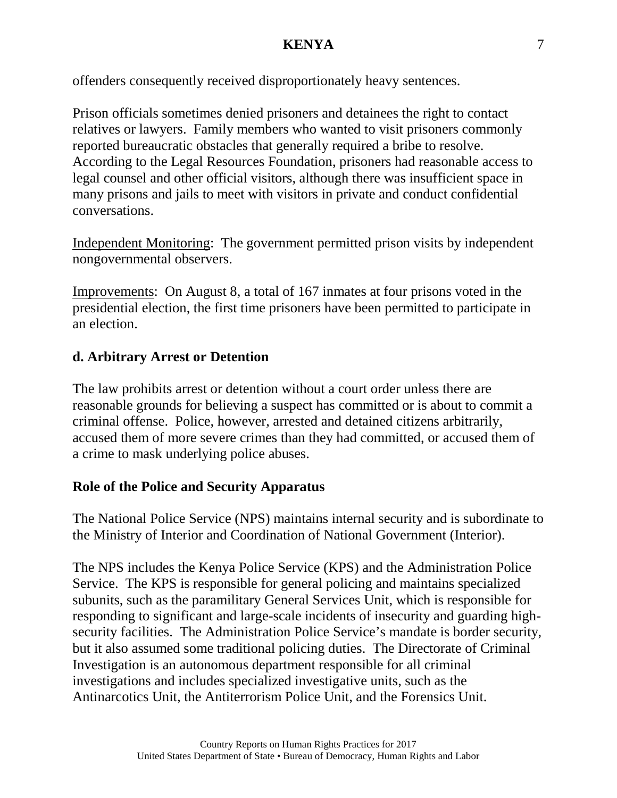offenders consequently received disproportionately heavy sentences.

Prison officials sometimes denied prisoners and detainees the right to contact relatives or lawyers. Family members who wanted to visit prisoners commonly reported bureaucratic obstacles that generally required a bribe to resolve. According to the Legal Resources Foundation, prisoners had reasonable access to legal counsel and other official visitors, although there was insufficient space in many prisons and jails to meet with visitors in private and conduct confidential conversations.

Independent Monitoring: The government permitted prison visits by independent nongovernmental observers.

Improvements: On August 8, a total of 167 inmates at four prisons voted in the presidential election, the first time prisoners have been permitted to participate in an election.

# **d. Arbitrary Arrest or Detention**

The law prohibits arrest or detention without a court order unless there are reasonable grounds for believing a suspect has committed or is about to commit a criminal offense. Police, however, arrested and detained citizens arbitrarily, accused them of more severe crimes than they had committed, or accused them of a crime to mask underlying police abuses.

# **Role of the Police and Security Apparatus**

The National Police Service (NPS) maintains internal security and is subordinate to the Ministry of Interior and Coordination of National Government (Interior).

The NPS includes the Kenya Police Service (KPS) and the Administration Police Service. The KPS is responsible for general policing and maintains specialized subunits, such as the paramilitary General Services Unit, which is responsible for responding to significant and large-scale incidents of insecurity and guarding highsecurity facilities. The Administration Police Service's mandate is border security, but it also assumed some traditional policing duties. The Directorate of Criminal Investigation is an autonomous department responsible for all criminal investigations and includes specialized investigative units, such as the Antinarcotics Unit, the Antiterrorism Police Unit, and the Forensics Unit.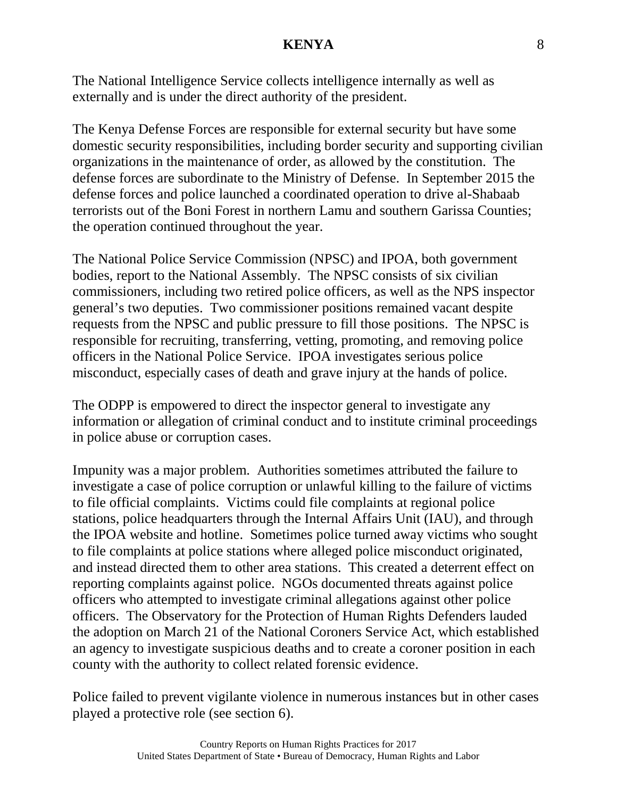The National Intelligence Service collects intelligence internally as well as externally and is under the direct authority of the president.

The Kenya Defense Forces are responsible for external security but have some domestic security responsibilities, including border security and supporting civilian organizations in the maintenance of order, as allowed by the constitution. The defense forces are subordinate to the Ministry of Defense. In September 2015 the defense forces and police launched a coordinated operation to drive al-Shabaab terrorists out of the Boni Forest in northern Lamu and southern Garissa Counties; the operation continued throughout the year.

The National Police Service Commission (NPSC) and IPOA, both government bodies, report to the National Assembly. The NPSC consists of six civilian commissioners, including two retired police officers, as well as the NPS inspector general's two deputies. Two commissioner positions remained vacant despite requests from the NPSC and public pressure to fill those positions. The NPSC is responsible for recruiting, transferring, vetting, promoting, and removing police officers in the National Police Service. IPOA investigates serious police misconduct, especially cases of death and grave injury at the hands of police.

The ODPP is empowered to direct the inspector general to investigate any information or allegation of criminal conduct and to institute criminal proceedings in police abuse or corruption cases.

Impunity was a major problem. Authorities sometimes attributed the failure to investigate a case of police corruption or unlawful killing to the failure of victims to file official complaints. Victims could file complaints at regional police stations, police headquarters through the Internal Affairs Unit (IAU), and through the IPOA website and hotline. Sometimes police turned away victims who sought to file complaints at police stations where alleged police misconduct originated, and instead directed them to other area stations. This created a deterrent effect on reporting complaints against police. NGOs documented threats against police officers who attempted to investigate criminal allegations against other police officers. The Observatory for the Protection of Human Rights Defenders lauded the adoption on March 21 of the National Coroners Service Act, which established an agency to investigate suspicious deaths and to create a coroner position in each county with the authority to collect related forensic evidence.

Police failed to prevent vigilante violence in numerous instances but in other cases played a protective role (see section 6).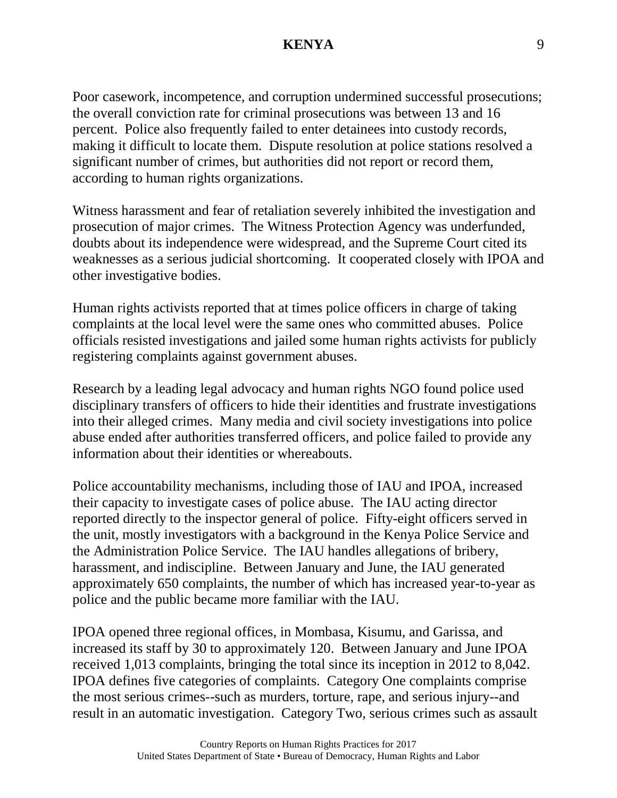Poor casework, incompetence, and corruption undermined successful prosecutions; the overall conviction rate for criminal prosecutions was between 13 and 16 percent. Police also frequently failed to enter detainees into custody records, making it difficult to locate them. Dispute resolution at police stations resolved a significant number of crimes, but authorities did not report or record them, according to human rights organizations.

Witness harassment and fear of retaliation severely inhibited the investigation and prosecution of major crimes. The Witness Protection Agency was underfunded, doubts about its independence were widespread, and the Supreme Court cited its weaknesses as a serious judicial shortcoming. It cooperated closely with IPOA and other investigative bodies.

Human rights activists reported that at times police officers in charge of taking complaints at the local level were the same ones who committed abuses. Police officials resisted investigations and jailed some human rights activists for publicly registering complaints against government abuses.

Research by a leading legal advocacy and human rights NGO found police used disciplinary transfers of officers to hide their identities and frustrate investigations into their alleged crimes. Many media and civil society investigations into police abuse ended after authorities transferred officers, and police failed to provide any information about their identities or whereabouts.

Police accountability mechanisms, including those of IAU and IPOA, increased their capacity to investigate cases of police abuse. The IAU acting director reported directly to the inspector general of police. Fifty-eight officers served in the unit, mostly investigators with a background in the Kenya Police Service and the Administration Police Service. The IAU handles allegations of bribery, harassment, and indiscipline. Between January and June, the IAU generated approximately 650 complaints, the number of which has increased year-to-year as police and the public became more familiar with the IAU.

IPOA opened three regional offices, in Mombasa, Kisumu, and Garissa, and increased its staff by 30 to approximately 120. Between January and June IPOA received 1,013 complaints, bringing the total since its inception in 2012 to 8,042. IPOA defines five categories of complaints. Category One complaints comprise the most serious crimes--such as murders, torture, rape, and serious injury--and result in an automatic investigation. Category Two, serious crimes such as assault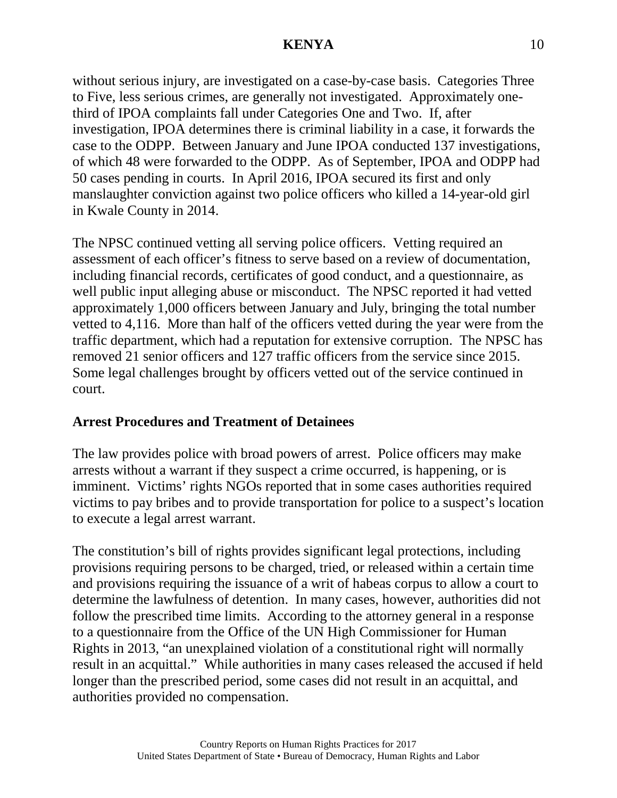without serious injury, are investigated on a case-by-case basis. Categories Three to Five, less serious crimes, are generally not investigated. Approximately onethird of IPOA complaints fall under Categories One and Two. If, after investigation, IPOA determines there is criminal liability in a case, it forwards the case to the ODPP. Between January and June IPOA conducted 137 investigations, of which 48 were forwarded to the ODPP. As of September, IPOA and ODPP had 50 cases pending in courts. In April 2016, IPOA secured its first and only manslaughter conviction against two police officers who killed a 14-year-old girl in Kwale County in 2014.

The NPSC continued vetting all serving police officers. Vetting required an assessment of each officer's fitness to serve based on a review of documentation, including financial records, certificates of good conduct, and a questionnaire, as well public input alleging abuse or misconduct. The NPSC reported it had vetted approximately 1,000 officers between January and July, bringing the total number vetted to 4,116. More than half of the officers vetted during the year were from the traffic department, which had a reputation for extensive corruption. The NPSC has removed 21 senior officers and 127 traffic officers from the service since 2015. Some legal challenges brought by officers vetted out of the service continued in court.

### **Arrest Procedures and Treatment of Detainees**

The law provides police with broad powers of arrest. Police officers may make arrests without a warrant if they suspect a crime occurred, is happening, or is imminent. Victims' rights NGOs reported that in some cases authorities required victims to pay bribes and to provide transportation for police to a suspect's location to execute a legal arrest warrant.

The constitution's bill of rights provides significant legal protections, including provisions requiring persons to be charged, tried, or released within a certain time and provisions requiring the issuance of a writ of habeas corpus to allow a court to determine the lawfulness of detention. In many cases, however, authorities did not follow the prescribed time limits. According to the attorney general in a response to a questionnaire from the Office of the UN High Commissioner for Human Rights in 2013, "an unexplained violation of a constitutional right will normally result in an acquittal." While authorities in many cases released the accused if held longer than the prescribed period, some cases did not result in an acquittal, and authorities provided no compensation.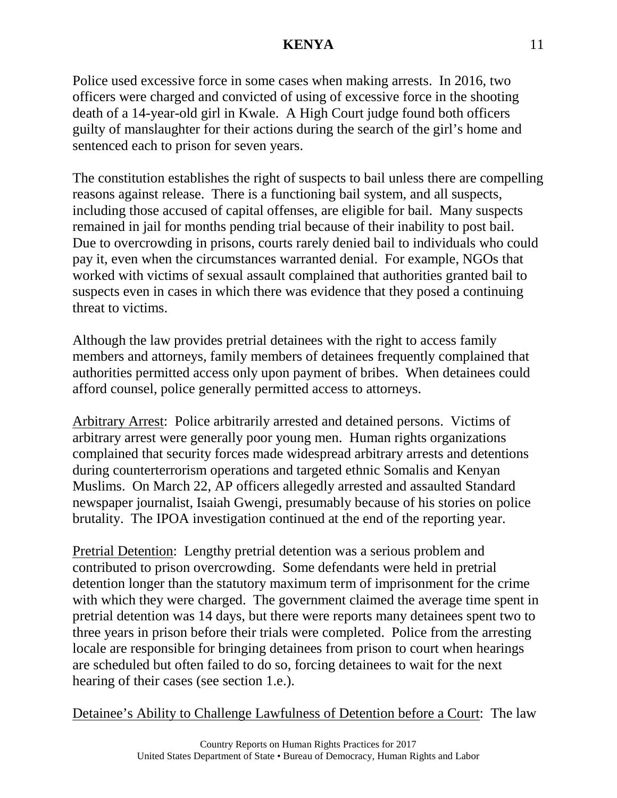Police used excessive force in some cases when making arrests. In 2016, two officers were charged and convicted of using of excessive force in the shooting death of a 14-year-old girl in Kwale. A High Court judge found both officers guilty of manslaughter for their actions during the search of the girl's home and sentenced each to prison for seven years.

The constitution establishes the right of suspects to bail unless there are compelling reasons against release. There is a functioning bail system, and all suspects, including those accused of capital offenses, are eligible for bail. Many suspects remained in jail for months pending trial because of their inability to post bail. Due to overcrowding in prisons, courts rarely denied bail to individuals who could pay it, even when the circumstances warranted denial. For example, NGOs that worked with victims of sexual assault complained that authorities granted bail to suspects even in cases in which there was evidence that they posed a continuing threat to victims.

Although the law provides pretrial detainees with the right to access family members and attorneys, family members of detainees frequently complained that authorities permitted access only upon payment of bribes. When detainees could afford counsel, police generally permitted access to attorneys.

Arbitrary Arrest: Police arbitrarily arrested and detained persons. Victims of arbitrary arrest were generally poor young men. Human rights organizations complained that security forces made widespread arbitrary arrests and detentions during counterterrorism operations and targeted ethnic Somalis and Kenyan Muslims. On March 22, AP officers allegedly arrested and assaulted Standard newspaper journalist, Isaiah Gwengi, presumably because of his stories on police brutality. The IPOA investigation continued at the end of the reporting year.

Pretrial Detention: Lengthy pretrial detention was a serious problem and contributed to prison overcrowding. Some defendants were held in pretrial detention longer than the statutory maximum term of imprisonment for the crime with which they were charged. The government claimed the average time spent in pretrial detention was 14 days, but there were reports many detainees spent two to three years in prison before their trials were completed. Police from the arresting locale are responsible for bringing detainees from prison to court when hearings are scheduled but often failed to do so, forcing detainees to wait for the next hearing of their cases (see section 1.e.).

Detainee's Ability to Challenge Lawfulness of Detention before a Court: The law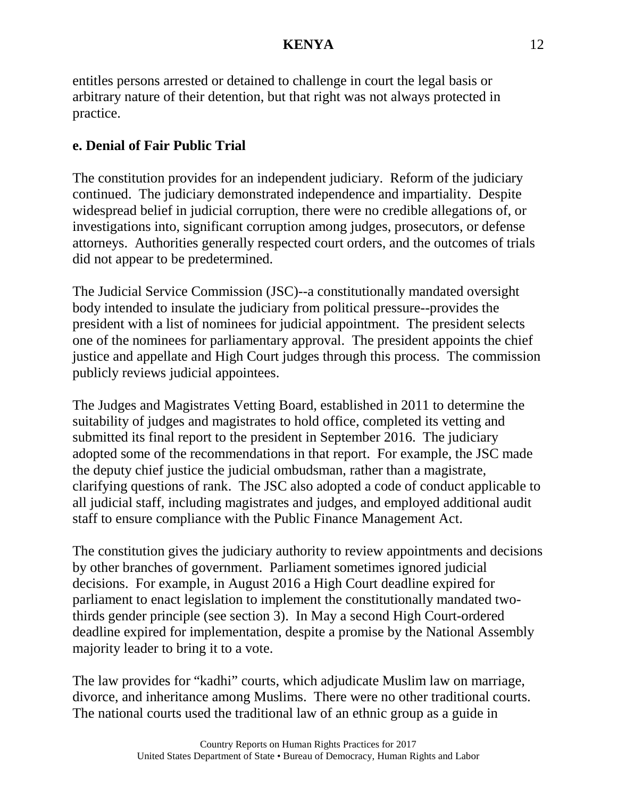entitles persons arrested or detained to challenge in court the legal basis or arbitrary nature of their detention, but that right was not always protected in practice.

# **e. Denial of Fair Public Trial**

The constitution provides for an independent judiciary. Reform of the judiciary continued. The judiciary demonstrated independence and impartiality. Despite widespread belief in judicial corruption, there were no credible allegations of, or investigations into, significant corruption among judges, prosecutors, or defense attorneys. Authorities generally respected court orders, and the outcomes of trials did not appear to be predetermined.

The Judicial Service Commission (JSC)--a constitutionally mandated oversight body intended to insulate the judiciary from political pressure--provides the president with a list of nominees for judicial appointment. The president selects one of the nominees for parliamentary approval. The president appoints the chief justice and appellate and High Court judges through this process. The commission publicly reviews judicial appointees.

The Judges and Magistrates Vetting Board, established in 2011 to determine the suitability of judges and magistrates to hold office, completed its vetting and submitted its final report to the president in September 2016. The judiciary adopted some of the recommendations in that report. For example, the JSC made the deputy chief justice the judicial ombudsman, rather than a magistrate, clarifying questions of rank. The JSC also adopted a code of conduct applicable to all judicial staff, including magistrates and judges, and employed additional audit staff to ensure compliance with the Public Finance Management Act.

The constitution gives the judiciary authority to review appointments and decisions by other branches of government. Parliament sometimes ignored judicial decisions. For example, in August 2016 a High Court deadline expired for parliament to enact legislation to implement the constitutionally mandated twothirds gender principle (see section 3). In May a second High Court-ordered deadline expired for implementation, despite a promise by the National Assembly majority leader to bring it to a vote.

The law provides for "kadhi" courts, which adjudicate Muslim law on marriage, divorce, and inheritance among Muslims. There were no other traditional courts. The national courts used the traditional law of an ethnic group as a guide in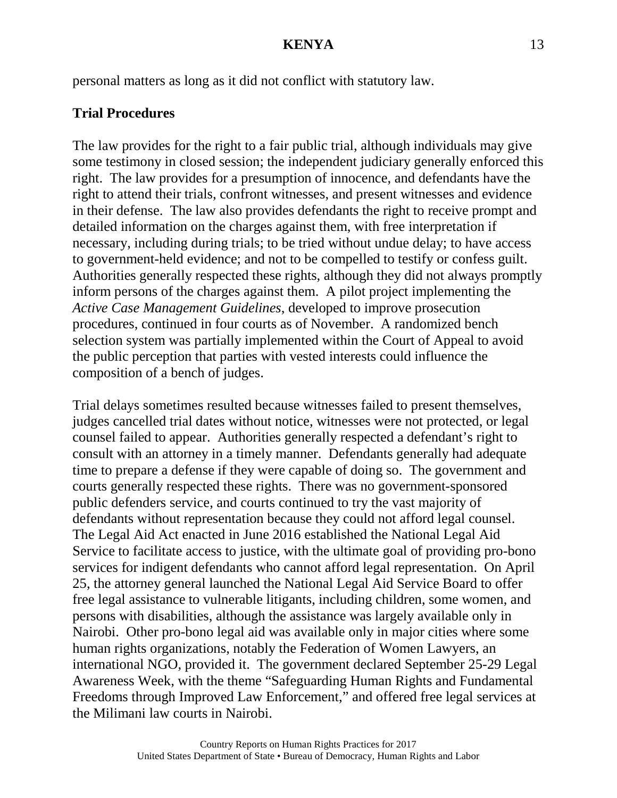personal matters as long as it did not conflict with statutory law.

# **Trial Procedures**

The law provides for the right to a fair public trial, although individuals may give some testimony in closed session; the independent judiciary generally enforced this right. The law provides for a presumption of innocence, and defendants have the right to attend their trials, confront witnesses, and present witnesses and evidence in their defense. The law also provides defendants the right to receive prompt and detailed information on the charges against them, with free interpretation if necessary, including during trials; to be tried without undue delay; to have access to government-held evidence; and not to be compelled to testify or confess guilt. Authorities generally respected these rights, although they did not always promptly inform persons of the charges against them. A pilot project implementing the *Active Case Management Guidelines*, developed to improve prosecution procedures, continued in four courts as of November. A randomized bench selection system was partially implemented within the Court of Appeal to avoid the public perception that parties with vested interests could influence the composition of a bench of judges.

Trial delays sometimes resulted because witnesses failed to present themselves, judges cancelled trial dates without notice, witnesses were not protected, or legal counsel failed to appear. Authorities generally respected a defendant's right to consult with an attorney in a timely manner. Defendants generally had adequate time to prepare a defense if they were capable of doing so. The government and courts generally respected these rights. There was no government-sponsored public defenders service, and courts continued to try the vast majority of defendants without representation because they could not afford legal counsel. The Legal Aid Act enacted in June 2016 established the National Legal Aid Service to facilitate access to justice, with the ultimate goal of providing pro-bono services for indigent defendants who cannot afford legal representation. On April 25, the attorney general launched the National Legal Aid Service Board to offer free legal assistance to vulnerable litigants, including children, some women, and persons with disabilities, although the assistance was largely available only in Nairobi. Other pro-bono legal aid was available only in major cities where some human rights organizations, notably the Federation of Women Lawyers, an international NGO, provided it. The government declared September 25-29 Legal Awareness Week, with the theme "Safeguarding Human Rights and Fundamental Freedoms through Improved Law Enforcement," and offered free legal services at the Milimani law courts in Nairobi.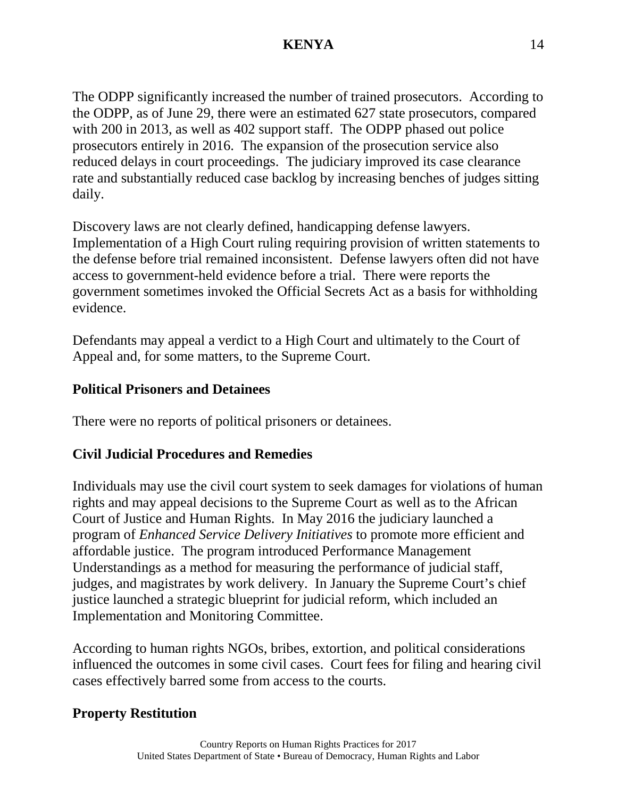The ODPP significantly increased the number of trained prosecutors. According to the ODPP, as of June 29, there were an estimated 627 state prosecutors, compared with 200 in 2013, as well as 402 support staff. The ODPP phased out police prosecutors entirely in 2016. The expansion of the prosecution service also reduced delays in court proceedings. The judiciary improved its case clearance rate and substantially reduced case backlog by increasing benches of judges sitting daily.

Discovery laws are not clearly defined, handicapping defense lawyers. Implementation of a High Court ruling requiring provision of written statements to the defense before trial remained inconsistent. Defense lawyers often did not have access to government-held evidence before a trial. There were reports the government sometimes invoked the Official Secrets Act as a basis for withholding evidence.

Defendants may appeal a verdict to a High Court and ultimately to the Court of Appeal and, for some matters, to the Supreme Court.

### **Political Prisoners and Detainees**

There were no reports of political prisoners or detainees.

# **Civil Judicial Procedures and Remedies**

Individuals may use the civil court system to seek damages for violations of human rights and may appeal decisions to the Supreme Court as well as to the African Court of Justice and Human Rights. In May 2016 the judiciary launched a program of *Enhanced Service Delivery Initiatives* to promote more efficient and affordable justice. The program introduced Performance Management Understandings as a method for measuring the performance of judicial staff, judges, and magistrates by work delivery. In January the Supreme Court's chief justice launched a strategic blueprint for judicial reform, which included an Implementation and Monitoring Committee.

According to human rights NGOs, bribes, extortion, and political considerations influenced the outcomes in some civil cases. Court fees for filing and hearing civil cases effectively barred some from access to the courts.

# **Property Restitution**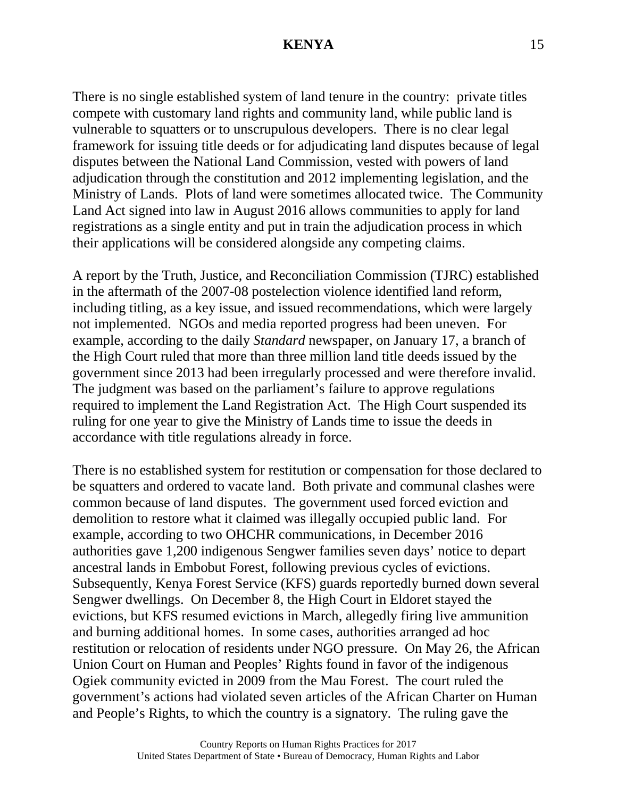There is no single established system of land tenure in the country: private titles compete with customary land rights and community land, while public land is vulnerable to squatters or to unscrupulous developers. There is no clear legal framework for issuing title deeds or for adjudicating land disputes because of legal disputes between the National Land Commission, vested with powers of land adjudication through the constitution and 2012 implementing legislation, and the Ministry of Lands. Plots of land were sometimes allocated twice. The Community Land Act signed into law in August 2016 allows communities to apply for land registrations as a single entity and put in train the adjudication process in which their applications will be considered alongside any competing claims.

A report by the Truth, Justice, and Reconciliation Commission (TJRC) established in the aftermath of the 2007-08 postelection violence identified land reform, including titling, as a key issue, and issued recommendations, which were largely not implemented. NGOs and media reported progress had been uneven. For example, according to the daily *Standard* newspaper, on January 17, a branch of the High Court ruled that more than three million land title deeds issued by the government since 2013 had been irregularly processed and were therefore invalid. The judgment was based on the parliament's failure to approve regulations required to implement the Land Registration Act. The High Court suspended its ruling for one year to give the Ministry of Lands time to issue the deeds in accordance with title regulations already in force.

There is no established system for restitution or compensation for those declared to be squatters and ordered to vacate land. Both private and communal clashes were common because of land disputes. The government used forced eviction and demolition to restore what it claimed was illegally occupied public land. For example, according to two OHCHR communications, in December 2016 authorities gave 1,200 indigenous Sengwer families seven days' notice to depart ancestral lands in Embobut Forest, following previous cycles of evictions. Subsequently, Kenya Forest Service (KFS) guards reportedly burned down several Sengwer dwellings. On December 8, the High Court in Eldoret stayed the evictions, but KFS resumed evictions in March, allegedly firing live ammunition and burning additional homes. In some cases, authorities arranged ad hoc restitution or relocation of residents under NGO pressure. On May 26, the African Union Court on Human and Peoples' Rights found in favor of the indigenous Ogiek community evicted in 2009 from the Mau Forest. The court ruled the government's actions had violated seven articles of the African Charter on Human and People's Rights, to which the country is a signatory. The ruling gave the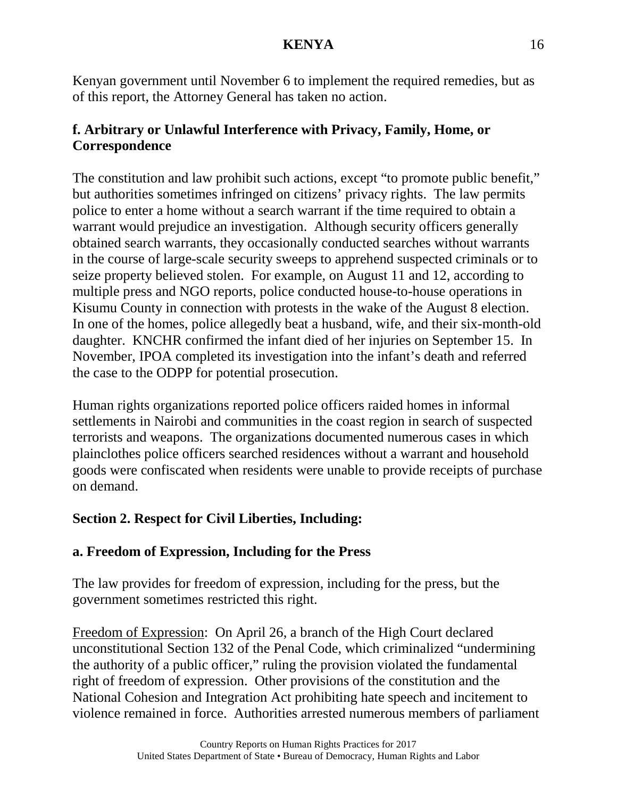Kenyan government until November 6 to implement the required remedies, but as of this report, the Attorney General has taken no action.

# **f. Arbitrary or Unlawful Interference with Privacy, Family, Home, or Correspondence**

The constitution and law prohibit such actions, except "to promote public benefit," but authorities sometimes infringed on citizens' privacy rights. The law permits police to enter a home without a search warrant if the time required to obtain a warrant would prejudice an investigation. Although security officers generally obtained search warrants, they occasionally conducted searches without warrants in the course of large-scale security sweeps to apprehend suspected criminals or to seize property believed stolen. For example, on August 11 and 12, according to multiple press and NGO reports, police conducted house-to-house operations in Kisumu County in connection with protests in the wake of the August 8 election. In one of the homes, police allegedly beat a husband, wife, and their six-month-old daughter. KNCHR confirmed the infant died of her injuries on September 15. In November, IPOA completed its investigation into the infant's death and referred the case to the ODPP for potential prosecution.

Human rights organizations reported police officers raided homes in informal settlements in Nairobi and communities in the coast region in search of suspected terrorists and weapons. The organizations documented numerous cases in which plainclothes police officers searched residences without a warrant and household goods were confiscated when residents were unable to provide receipts of purchase on demand.

# **Section 2. Respect for Civil Liberties, Including:**

# **a. Freedom of Expression, Including for the Press**

The law provides for freedom of expression, including for the press, but the government sometimes restricted this right.

Freedom of Expression: On April 26, a branch of the High Court declared unconstitutional Section 132 of the Penal Code, which criminalized "undermining the authority of a public officer," ruling the provision violated the fundamental right of freedom of expression. Other provisions of the constitution and the National Cohesion and Integration Act prohibiting hate speech and incitement to violence remained in force. Authorities arrested numerous members of parliament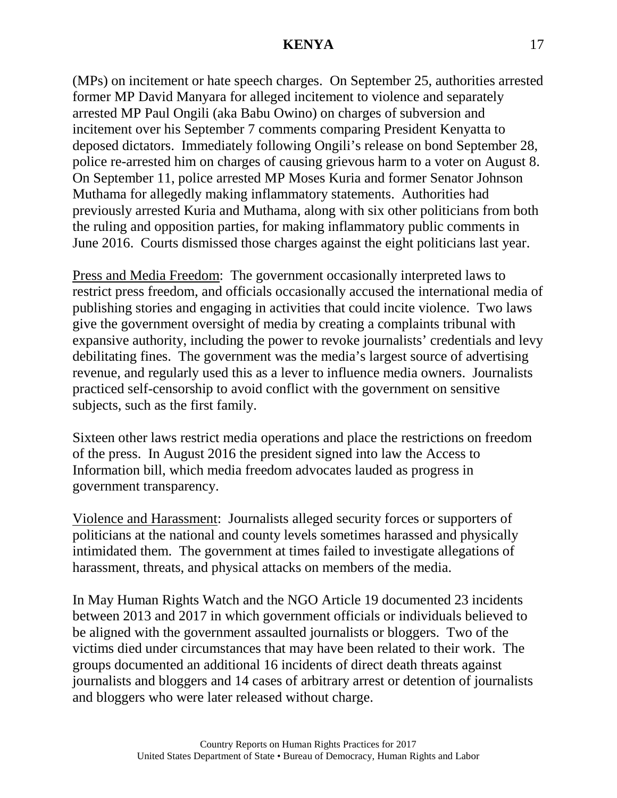(MPs) on incitement or hate speech charges. On September 25, authorities arrested former MP David Manyara for alleged incitement to violence and separately arrested MP Paul Ongili (aka Babu Owino) on charges of subversion and incitement over his September 7 comments comparing President Kenyatta to deposed dictators. Immediately following Ongili's release on bond September 28, police re-arrested him on charges of causing grievous harm to a voter on August 8. On September 11, police arrested MP Moses Kuria and former Senator Johnson Muthama for allegedly making inflammatory statements. Authorities had previously arrested Kuria and Muthama, along with six other politicians from both the ruling and opposition parties, for making inflammatory public comments in June 2016. Courts dismissed those charges against the eight politicians last year.

Press and Media Freedom: The government occasionally interpreted laws to restrict press freedom, and officials occasionally accused the international media of publishing stories and engaging in activities that could incite violence. Two laws give the government oversight of media by creating a complaints tribunal with expansive authority, including the power to revoke journalists' credentials and levy debilitating fines. The government was the media's largest source of advertising revenue, and regularly used this as a lever to influence media owners. Journalists practiced self-censorship to avoid conflict with the government on sensitive subjects, such as the first family.

Sixteen other laws restrict media operations and place the restrictions on freedom of the press. In August 2016 the president signed into law the Access to Information bill, which media freedom advocates lauded as progress in government transparency.

Violence and Harassment: Journalists alleged security forces or supporters of politicians at the national and county levels sometimes harassed and physically intimidated them. The government at times failed to investigate allegations of harassment, threats, and physical attacks on members of the media.

In May Human Rights Watch and the NGO Article 19 documented 23 incidents between 2013 and 2017 in which government officials or individuals believed to be aligned with the government assaulted journalists or bloggers. Two of the victims died under circumstances that may have been related to their work. The groups documented an additional 16 incidents of direct death threats against journalists and bloggers and 14 cases of arbitrary arrest or detention of journalists and bloggers who were later released without charge.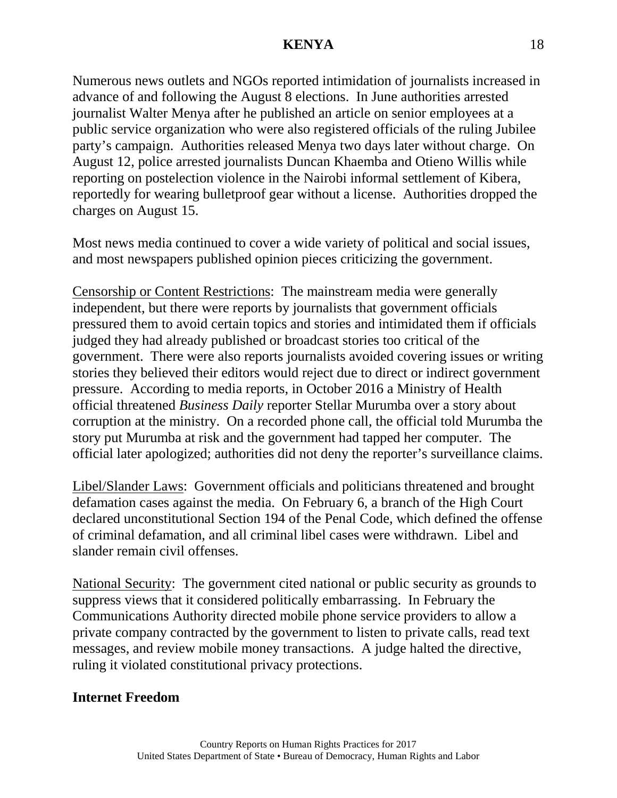Numerous news outlets and NGOs reported intimidation of journalists increased in advance of and following the August 8 elections. In June authorities arrested journalist Walter Menya after he published an article on senior employees at a public service organization who were also registered officials of the ruling Jubilee party's campaign. Authorities released Menya two days later without charge. On August 12, police arrested journalists Duncan Khaemba and Otieno Willis while reporting on postelection violence in the Nairobi informal settlement of Kibera, reportedly for wearing bulletproof gear without a license. Authorities dropped the charges on August 15.

Most news media continued to cover a wide variety of political and social issues, and most newspapers published opinion pieces criticizing the government.

Censorship or Content Restrictions: The mainstream media were generally independent, but there were reports by journalists that government officials pressured them to avoid certain topics and stories and intimidated them if officials judged they had already published or broadcast stories too critical of the government. There were also reports journalists avoided covering issues or writing stories they believed their editors would reject due to direct or indirect government pressure. According to media reports, in October 2016 a Ministry of Health official threatened *Business Daily* reporter Stellar Murumba over a story about corruption at the ministry. On a recorded phone call, the official told Murumba the story put Murumba at risk and the government had tapped her computer. The official later apologized; authorities did not deny the reporter's surveillance claims.

Libel/Slander Laws: Government officials and politicians threatened and brought defamation cases against the media. On February 6, a branch of the High Court declared unconstitutional Section 194 of the Penal Code, which defined the offense of criminal defamation, and all criminal libel cases were withdrawn. Libel and slander remain civil offenses.

National Security: The government cited national or public security as grounds to suppress views that it considered politically embarrassing. In February the Communications Authority directed mobile phone service providers to allow a private company contracted by the government to listen to private calls, read text messages, and review mobile money transactions. A judge halted the directive, ruling it violated constitutional privacy protections.

# **Internet Freedom**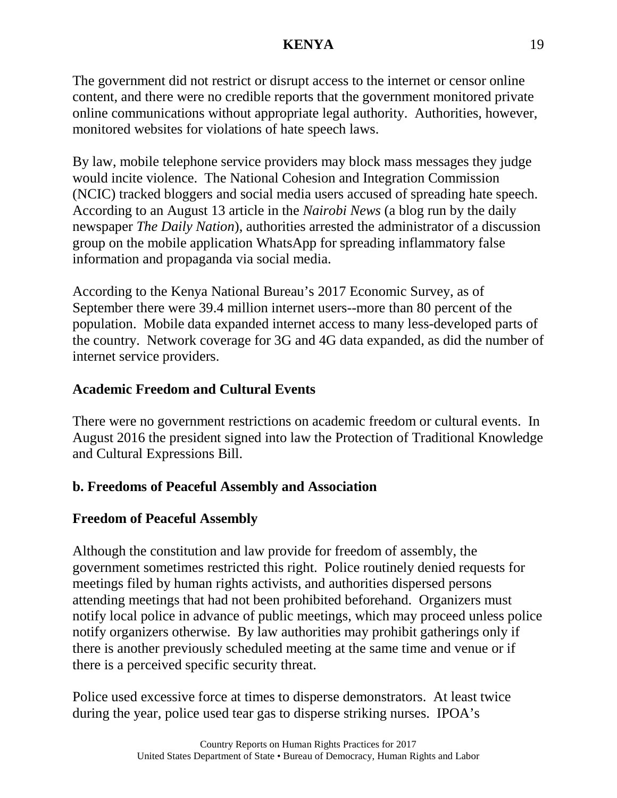The government did not restrict or disrupt access to the internet or censor online content, and there were no credible reports that the government monitored private online communications without appropriate legal authority. Authorities, however, monitored websites for violations of hate speech laws.

By law, mobile telephone service providers may block mass messages they judge would incite violence. The National Cohesion and Integration Commission (NCIC) tracked bloggers and social media users accused of spreading hate speech. According to an August 13 article in the *Nairobi News* (a blog run by the daily newspaper *The Daily Nation*), authorities arrested the administrator of a discussion group on the mobile application WhatsApp for spreading inflammatory false information and propaganda via social media.

According to the Kenya National Bureau's 2017 Economic Survey, as of September there were 39.4 million internet users--more than 80 percent of the population. Mobile data expanded internet access to many less-developed parts of the country. Network coverage for 3G and 4G data expanded, as did the number of internet service providers.

# **Academic Freedom and Cultural Events**

There were no government restrictions on academic freedom or cultural events. In August 2016 the president signed into law the Protection of Traditional Knowledge and Cultural Expressions Bill.

# **b. Freedoms of Peaceful Assembly and Association**

# **Freedom of Peaceful Assembly**

Although the constitution and law provide for freedom of assembly, the government sometimes restricted this right. Police routinely denied requests for meetings filed by human rights activists, and authorities dispersed persons attending meetings that had not been prohibited beforehand. Organizers must notify local police in advance of public meetings, which may proceed unless police notify organizers otherwise. By law authorities may prohibit gatherings only if there is another previously scheduled meeting at the same time and venue or if there is a perceived specific security threat.

Police used excessive force at times to disperse demonstrators. At least twice during the year, police used tear gas to disperse striking nurses. IPOA's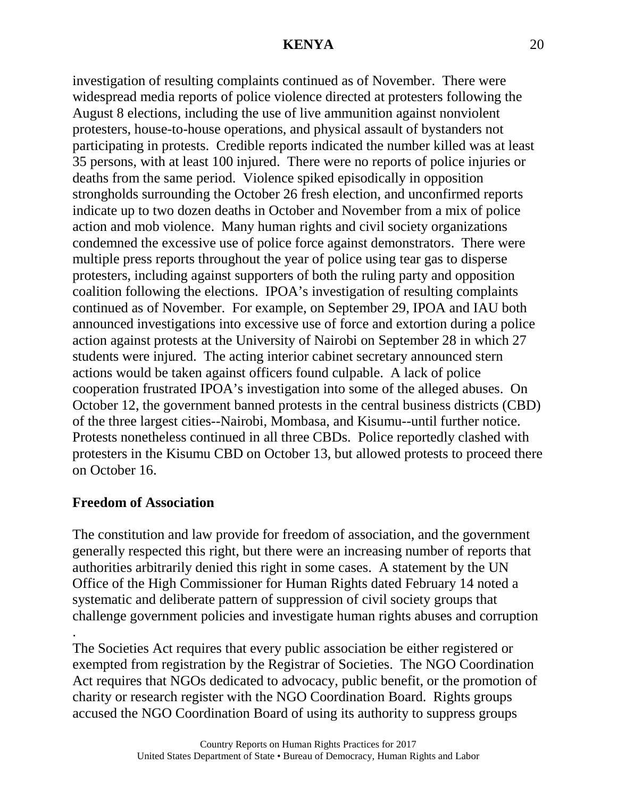investigation of resulting complaints continued as of November. There were widespread media reports of police violence directed at protesters following the August 8 elections, including the use of live ammunition against nonviolent protesters, house-to-house operations, and physical assault of bystanders not participating in protests. Credible reports indicated the number killed was at least 35 persons, with at least 100 injured. There were no reports of police injuries or deaths from the same period. Violence spiked episodically in opposition strongholds surrounding the October 26 fresh election, and unconfirmed reports indicate up to two dozen deaths in October and November from a mix of police action and mob violence. Many human rights and civil society organizations condemned the excessive use of police force against demonstrators. There were multiple press reports throughout the year of police using tear gas to disperse protesters, including against supporters of both the ruling party and opposition coalition following the elections. IPOA's investigation of resulting complaints continued as of November. For example, on September 29, IPOA and IAU both announced investigations into excessive use of force and extortion during a police action against protests at the University of Nairobi on September 28 in which 27 students were injured. The acting interior cabinet secretary announced stern actions would be taken against officers found culpable. A lack of police cooperation frustrated IPOA's investigation into some of the alleged abuses. On October 12, the government banned protests in the central business districts (CBD) of the three largest cities--Nairobi, Mombasa, and Kisumu--until further notice. Protests nonetheless continued in all three CBDs. Police reportedly clashed with protesters in the Kisumu CBD on October 13, but allowed protests to proceed there on October 16.

### **Freedom of Association**

The constitution and law provide for freedom of association, and the government generally respected this right, but there were an increasing number of reports that authorities arbitrarily denied this right in some cases. A statement by the UN Office of the High Commissioner for Human Rights dated February 14 noted a systematic and deliberate pattern of suppression of civil society groups that challenge government policies and investigate human rights abuses and corruption

. The Societies Act requires that every public association be either registered or exempted from registration by the Registrar of Societies. The NGO Coordination Act requires that NGOs dedicated to advocacy, public benefit, or the promotion of charity or research register with the NGO Coordination Board. Rights groups accused the NGO Coordination Board of using its authority to suppress groups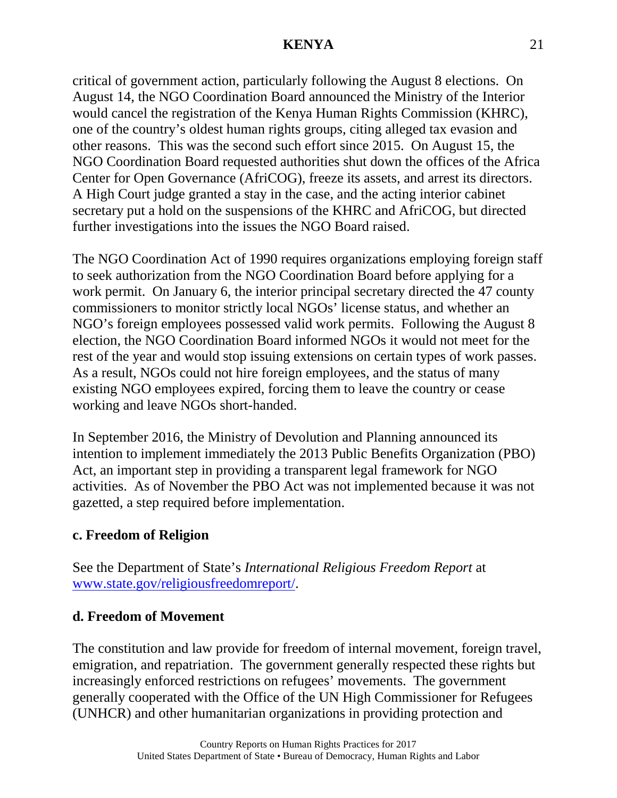critical of government action, particularly following the August 8 elections. On August 14, the NGO Coordination Board announced the Ministry of the Interior would cancel the registration of the Kenya Human Rights Commission (KHRC), one of the country's oldest human rights groups, citing alleged tax evasion and other reasons. This was the second such effort since 2015. On August 15, the NGO Coordination Board requested authorities shut down the offices of the Africa Center for Open Governance (AfriCOG), freeze its assets, and arrest its directors. A High Court judge granted a stay in the case, and the acting interior cabinet secretary put a hold on the suspensions of the KHRC and AfriCOG, but directed further investigations into the issues the NGO Board raised.

The NGO Coordination Act of 1990 requires organizations employing foreign staff to seek authorization from the NGO Coordination Board before applying for a work permit. On January 6, the interior principal secretary directed the 47 county commissioners to monitor strictly local NGOs' license status, and whether an NGO's foreign employees possessed valid work permits. Following the August 8 election, the NGO Coordination Board informed NGOs it would not meet for the rest of the year and would stop issuing extensions on certain types of work passes. As a result, NGOs could not hire foreign employees, and the status of many existing NGO employees expired, forcing them to leave the country or cease working and leave NGOs short-handed.

In September 2016, the Ministry of Devolution and Planning announced its intention to implement immediately the 2013 Public Benefits Organization (PBO) Act, an important step in providing a transparent legal framework for NGO activities. As of November the PBO Act was not implemented because it was not gazetted, a step required before implementation.

# **c. Freedom of Religion**

See the Department of State's *International Religious Freedom Report* at [www.state.gov/religiousfreedomreport/.](http://www.state.gov/religiousfreedomreport/)

# **d. Freedom of Movement**

The constitution and law provide for freedom of internal movement, foreign travel, emigration, and repatriation. The government generally respected these rights but increasingly enforced restrictions on refugees' movements. The government generally cooperated with the Office of the UN High Commissioner for Refugees (UNHCR) and other humanitarian organizations in providing protection and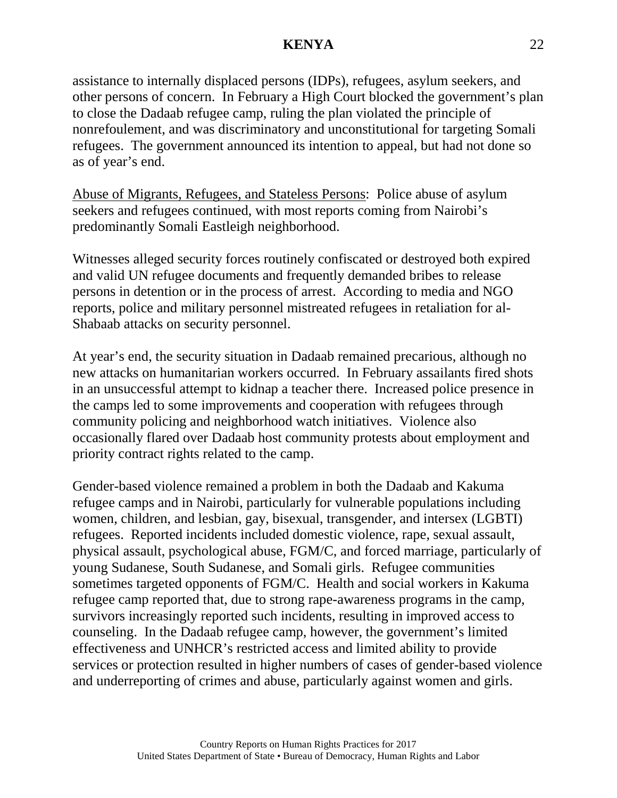assistance to internally displaced persons (IDPs), refugees, asylum seekers, and other persons of concern. In February a High Court blocked the government's plan to close the Dadaab refugee camp, ruling the plan violated the principle of nonrefoulement, and was discriminatory and unconstitutional for targeting Somali refugees. The government announced its intention to appeal, but had not done so as of year's end.

Abuse of Migrants, Refugees, and Stateless Persons: Police abuse of asylum seekers and refugees continued, with most reports coming from Nairobi's predominantly Somali Eastleigh neighborhood.

Witnesses alleged security forces routinely confiscated or destroyed both expired and valid UN refugee documents and frequently demanded bribes to release persons in detention or in the process of arrest. According to media and NGO reports, police and military personnel mistreated refugees in retaliation for al-Shabaab attacks on security personnel.

At year's end, the security situation in Dadaab remained precarious, although no new attacks on humanitarian workers occurred. In February assailants fired shots in an unsuccessful attempt to kidnap a teacher there. Increased police presence in the camps led to some improvements and cooperation with refugees through community policing and neighborhood watch initiatives. Violence also occasionally flared over Dadaab host community protests about employment and priority contract rights related to the camp.

Gender-based violence remained a problem in both the Dadaab and Kakuma refugee camps and in Nairobi, particularly for vulnerable populations including women, children, and lesbian, gay, bisexual, transgender, and intersex (LGBTI) refugees. Reported incidents included domestic violence, rape, sexual assault, physical assault, psychological abuse, FGM/C, and forced marriage, particularly of young Sudanese, South Sudanese, and Somali girls. Refugee communities sometimes targeted opponents of FGM/C. Health and social workers in Kakuma refugee camp reported that, due to strong rape-awareness programs in the camp, survivors increasingly reported such incidents, resulting in improved access to counseling. In the Dadaab refugee camp, however, the government's limited effectiveness and UNHCR's restricted access and limited ability to provide services or protection resulted in higher numbers of cases of gender-based violence and underreporting of crimes and abuse, particularly against women and girls.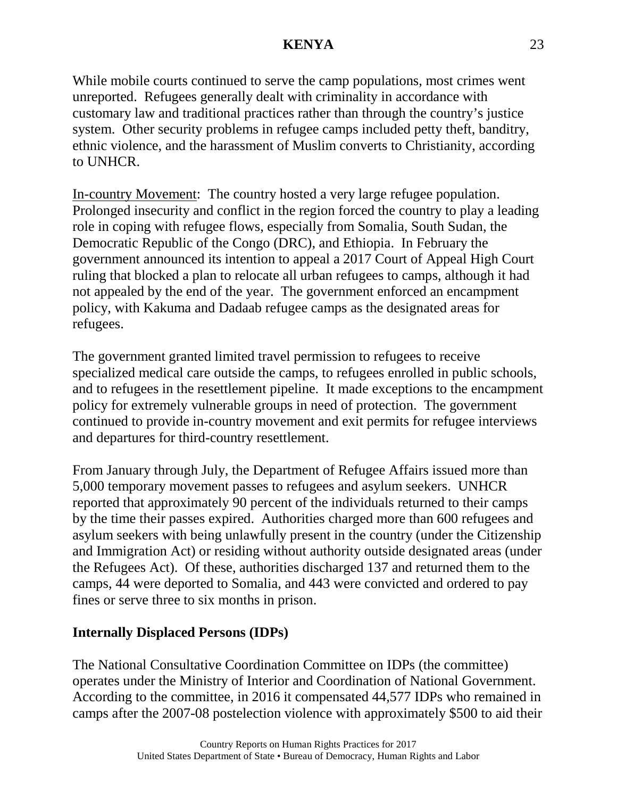While mobile courts continued to serve the camp populations, most crimes went unreported. Refugees generally dealt with criminality in accordance with customary law and traditional practices rather than through the country's justice system. Other security problems in refugee camps included petty theft, banditry, ethnic violence, and the harassment of Muslim converts to Christianity, according to UNHCR.

In-country Movement: The country hosted a very large refugee population. Prolonged insecurity and conflict in the region forced the country to play a leading role in coping with refugee flows, especially from Somalia, South Sudan, the Democratic Republic of the Congo (DRC), and Ethiopia. In February the government announced its intention to appeal a 2017 Court of Appeal High Court ruling that blocked a plan to relocate all urban refugees to camps, although it had not appealed by the end of the year. The government enforced an encampment policy, with Kakuma and Dadaab refugee camps as the designated areas for refugees.

The government granted limited travel permission to refugees to receive specialized medical care outside the camps, to refugees enrolled in public schools, and to refugees in the resettlement pipeline. It made exceptions to the encampment policy for extremely vulnerable groups in need of protection. The government continued to provide in-country movement and exit permits for refugee interviews and departures for third-country resettlement.

From January through July, the Department of Refugee Affairs issued more than 5,000 temporary movement passes to refugees and asylum seekers. UNHCR reported that approximately 90 percent of the individuals returned to their camps by the time their passes expired. Authorities charged more than 600 refugees and asylum seekers with being unlawfully present in the country (under the Citizenship and Immigration Act) or residing without authority outside designated areas (under the Refugees Act). Of these, authorities discharged 137 and returned them to the camps, 44 were deported to Somalia, and 443 were convicted and ordered to pay fines or serve three to six months in prison.

# **Internally Displaced Persons (IDPs)**

The National Consultative Coordination Committee on IDPs (the committee) operates under the Ministry of Interior and Coordination of National Government. According to the committee, in 2016 it compensated 44,577 IDPs who remained in camps after the 2007-08 postelection violence with approximately \$500 to aid their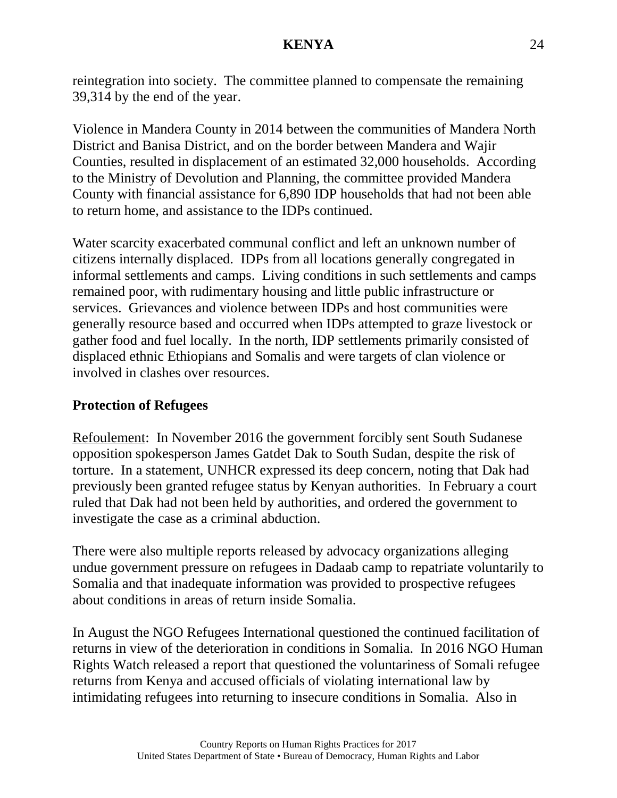reintegration into society. The committee planned to compensate the remaining 39,314 by the end of the year.

Violence in Mandera County in 2014 between the communities of Mandera North District and Banisa District, and on the border between Mandera and Wajir Counties, resulted in displacement of an estimated 32,000 households. According to the Ministry of Devolution and Planning, the committee provided Mandera County with financial assistance for 6,890 IDP households that had not been able to return home, and assistance to the IDPs continued.

Water scarcity exacerbated communal conflict and left an unknown number of citizens internally displaced. IDPs from all locations generally congregated in informal settlements and camps. Living conditions in such settlements and camps remained poor, with rudimentary housing and little public infrastructure or services. Grievances and violence between IDPs and host communities were generally resource based and occurred when IDPs attempted to graze livestock or gather food and fuel locally. In the north, IDP settlements primarily consisted of displaced ethnic Ethiopians and Somalis and were targets of clan violence or involved in clashes over resources.

# **Protection of Refugees**

Refoulement: In November 2016 the government forcibly sent South Sudanese opposition spokesperson James Gatdet Dak to South Sudan, despite the risk of torture. In a statement, UNHCR expressed its deep concern, noting that Dak had previously been granted refugee status by Kenyan authorities. In February a court ruled that Dak had not been held by authorities, and ordered the government to investigate the case as a criminal abduction.

There were also multiple reports released by advocacy organizations alleging undue government pressure on refugees in Dadaab camp to repatriate voluntarily to Somalia and that inadequate information was provided to prospective refugees about conditions in areas of return inside Somalia.

In August the NGO Refugees International questioned the continued facilitation of returns in view of the deterioration in conditions in Somalia. In 2016 NGO Human Rights Watch released a report that questioned the voluntariness of Somali refugee returns from Kenya and accused officials of violating international law by intimidating refugees into returning to insecure conditions in Somalia. Also in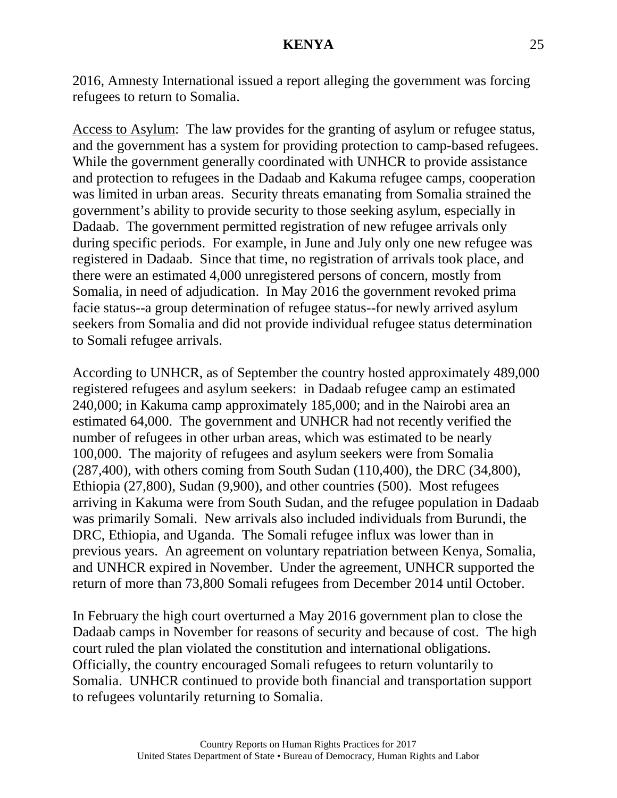2016, Amnesty International issued a report alleging the government was forcing refugees to return to Somalia.

Access to Asylum: The law provides for the granting of asylum or refugee status, and the government has a system for providing protection to camp-based refugees. While the government generally coordinated with UNHCR to provide assistance and protection to refugees in the Dadaab and Kakuma refugee camps, cooperation was limited in urban areas. Security threats emanating from Somalia strained the government's ability to provide security to those seeking asylum, especially in Dadaab. The government permitted registration of new refugee arrivals only during specific periods. For example, in June and July only one new refugee was registered in Dadaab. Since that time, no registration of arrivals took place, and there were an estimated 4,000 unregistered persons of concern, mostly from Somalia, in need of adjudication. In May 2016 the government revoked prima facie status--a group determination of refugee status--for newly arrived asylum seekers from Somalia and did not provide individual refugee status determination to Somali refugee arrivals.

According to UNHCR, as of September the country hosted approximately 489,000 registered refugees and asylum seekers: in Dadaab refugee camp an estimated 240,000; in Kakuma camp approximately 185,000; and in the Nairobi area an estimated 64,000. The government and UNHCR had not recently verified the number of refugees in other urban areas, which was estimated to be nearly 100,000. The majority of refugees and asylum seekers were from Somalia (287,400), with others coming from South Sudan (110,400), the DRC (34,800), Ethiopia (27,800), Sudan (9,900), and other countries (500). Most refugees arriving in Kakuma were from South Sudan, and the refugee population in Dadaab was primarily Somali. New arrivals also included individuals from Burundi, the DRC, Ethiopia, and Uganda. The Somali refugee influx was lower than in previous years. An agreement on voluntary repatriation between Kenya, Somalia, and UNHCR expired in November. Under the agreement, UNHCR supported the return of more than 73,800 Somali refugees from December 2014 until October.

In February the high court overturned a May 2016 government plan to close the Dadaab camps in November for reasons of security and because of cost. The high court ruled the plan violated the constitution and international obligations. Officially, the country encouraged Somali refugees to return voluntarily to Somalia. UNHCR continued to provide both financial and transportation support to refugees voluntarily returning to Somalia.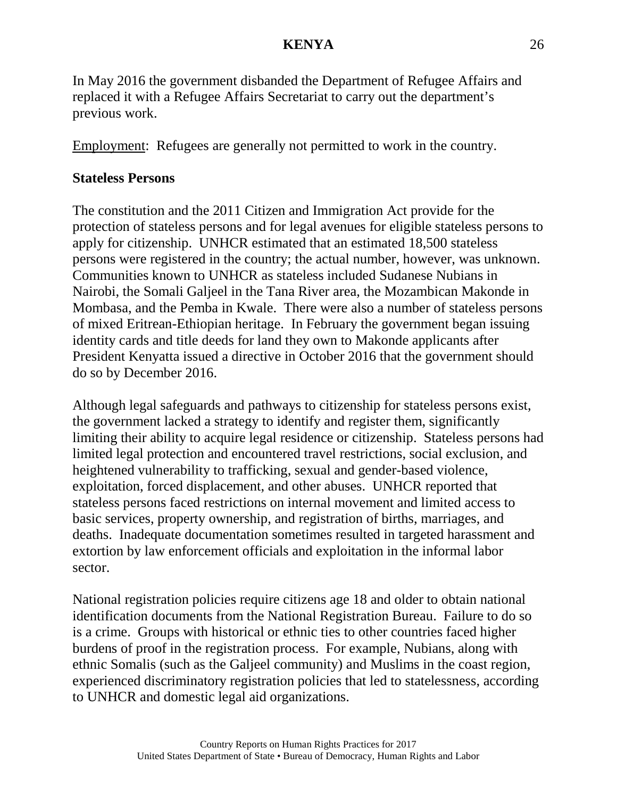In May 2016 the government disbanded the Department of Refugee Affairs and replaced it with a Refugee Affairs Secretariat to carry out the department's previous work.

Employment: Refugees are generally not permitted to work in the country.

### **Stateless Persons**

The constitution and the 2011 Citizen and Immigration Act provide for the protection of stateless persons and for legal avenues for eligible stateless persons to apply for citizenship. UNHCR estimated that an estimated 18,500 stateless persons were registered in the country; the actual number, however, was unknown. Communities known to UNHCR as stateless included Sudanese Nubians in Nairobi, the Somali Galjeel in the Tana River area, the Mozambican Makonde in Mombasa, and the Pemba in Kwale. There were also a number of stateless persons of mixed Eritrean-Ethiopian heritage. In February the government began issuing identity cards and title deeds for land they own to Makonde applicants after President Kenyatta issued a directive in October 2016 that the government should do so by December 2016.

Although legal safeguards and pathways to citizenship for stateless persons exist, the government lacked a strategy to identify and register them, significantly limiting their ability to acquire legal residence or citizenship. Stateless persons had limited legal protection and encountered travel restrictions, social exclusion, and heightened vulnerability to trafficking, sexual and gender-based violence, exploitation, forced displacement, and other abuses. UNHCR reported that stateless persons faced restrictions on internal movement and limited access to basic services, property ownership, and registration of births, marriages, and deaths. Inadequate documentation sometimes resulted in targeted harassment and extortion by law enforcement officials and exploitation in the informal labor sector.

National registration policies require citizens age 18 and older to obtain national identification documents from the National Registration Bureau. Failure to do so is a crime. Groups with historical or ethnic ties to other countries faced higher burdens of proof in the registration process. For example, Nubians, along with ethnic Somalis (such as the Galjeel community) and Muslims in the coast region, experienced discriminatory registration policies that led to statelessness, according to UNHCR and domestic legal aid organizations.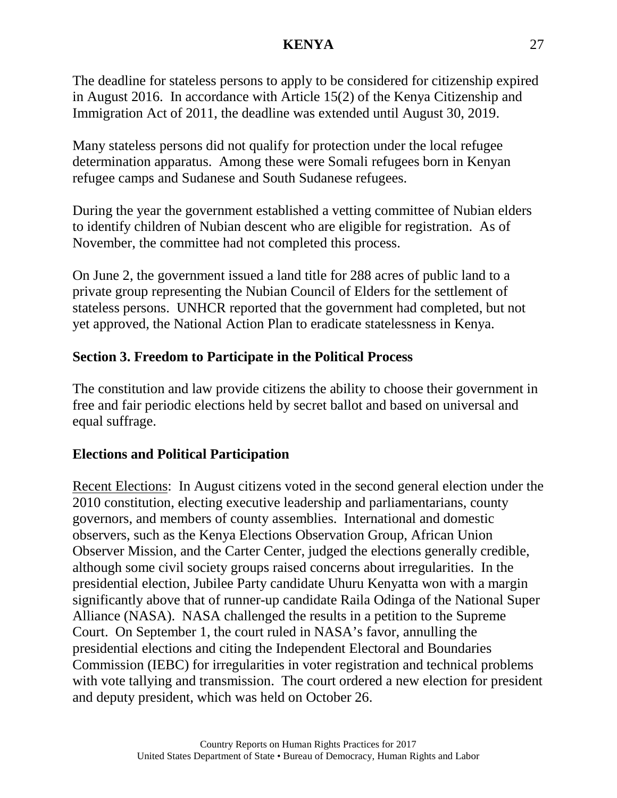The deadline for stateless persons to apply to be considered for citizenship expired in August 2016. In accordance with Article 15(2) of the Kenya Citizenship and Immigration Act of 2011, the deadline was extended until August 30, 2019.

Many stateless persons did not qualify for protection under the local refugee determination apparatus. Among these were Somali refugees born in Kenyan refugee camps and Sudanese and South Sudanese refugees.

During the year the government established a vetting committee of Nubian elders to identify children of Nubian descent who are eligible for registration. As of November, the committee had not completed this process.

On June 2, the government issued a land title for 288 acres of public land to a private group representing the Nubian Council of Elders for the settlement of stateless persons. UNHCR reported that the government had completed, but not yet approved, the National Action Plan to eradicate statelessness in Kenya.

# **Section 3. Freedom to Participate in the Political Process**

The constitution and law provide citizens the ability to choose their government in free and fair periodic elections held by secret ballot and based on universal and equal suffrage.

# **Elections and Political Participation**

Recent Elections: In August citizens voted in the second general election under the 2010 constitution, electing executive leadership and parliamentarians, county governors, and members of county assemblies. International and domestic observers, such as the Kenya Elections Observation Group, African Union Observer Mission, and the Carter Center, judged the elections generally credible, although some civil society groups raised concerns about irregularities. In the presidential election, Jubilee Party candidate Uhuru Kenyatta won with a margin significantly above that of runner-up candidate Raila Odinga of the National Super Alliance (NASA). NASA challenged the results in a petition to the Supreme Court. On September 1, the court ruled in NASA's favor, annulling the presidential elections and citing the Independent Electoral and Boundaries Commission (IEBC) for irregularities in voter registration and technical problems with vote tallying and transmission. The court ordered a new election for president and deputy president, which was held on October 26.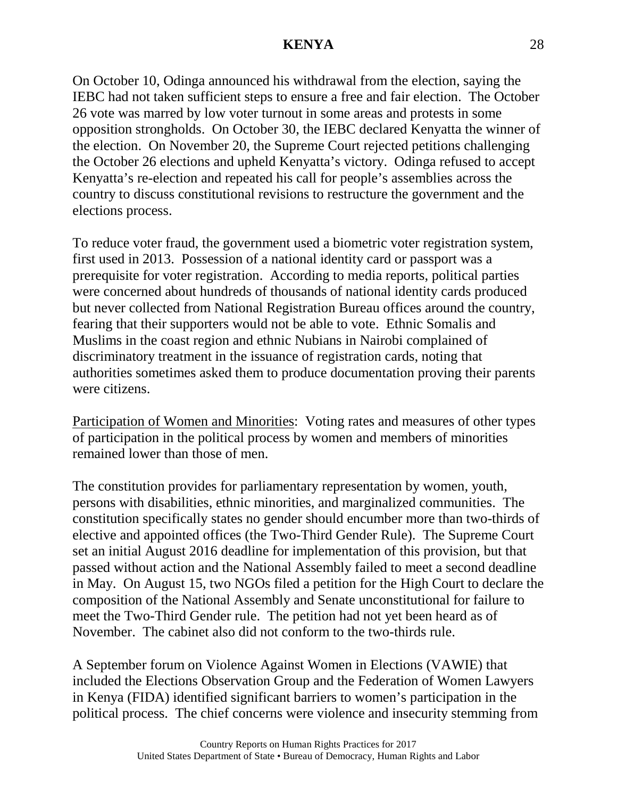On October 10, Odinga announced his withdrawal from the election, saying the IEBC had not taken sufficient steps to ensure a free and fair election. The October 26 vote was marred by low voter turnout in some areas and protests in some opposition strongholds. On October 30, the IEBC declared Kenyatta the winner of the election. On November 20, the Supreme Court rejected petitions challenging the October 26 elections and upheld Kenyatta's victory. Odinga refused to accept Kenyatta's re-election and repeated his call for people's assemblies across the country to discuss constitutional revisions to restructure the government and the elections process.

To reduce voter fraud, the government used a biometric voter registration system, first used in 2013. Possession of a national identity card or passport was a prerequisite for voter registration. According to media reports, political parties were concerned about hundreds of thousands of national identity cards produced but never collected from National Registration Bureau offices around the country, fearing that their supporters would not be able to vote. Ethnic Somalis and Muslims in the coast region and ethnic Nubians in Nairobi complained of discriminatory treatment in the issuance of registration cards, noting that authorities sometimes asked them to produce documentation proving their parents were citizens.

Participation of Women and Minorities: Voting rates and measures of other types of participation in the political process by women and members of minorities remained lower than those of men.

The constitution provides for parliamentary representation by women, youth, persons with disabilities, ethnic minorities, and marginalized communities. The constitution specifically states no gender should encumber more than two-thirds of elective and appointed offices (the Two-Third Gender Rule). The Supreme Court set an initial August 2016 deadline for implementation of this provision, but that passed without action and the National Assembly failed to meet a second deadline in May. On August 15, two NGOs filed a petition for the High Court to declare the composition of the National Assembly and Senate unconstitutional for failure to meet the Two-Third Gender rule. The petition had not yet been heard as of November. The cabinet also did not conform to the two-thirds rule.

A September forum on Violence Against Women in Elections (VAWIE) that included the Elections Observation Group and the Federation of Women Lawyers in Kenya (FIDA) identified significant barriers to women's participation in the political process. The chief concerns were violence and insecurity stemming from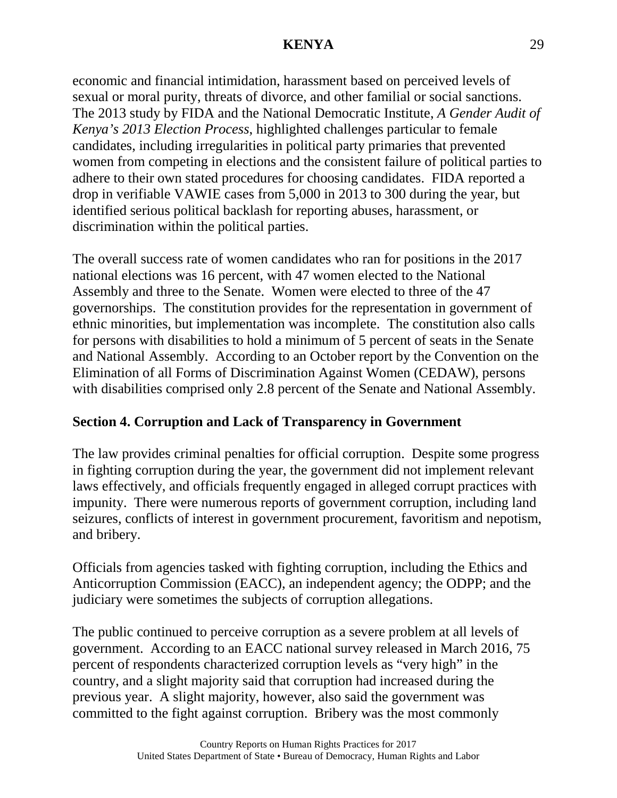economic and financial intimidation, harassment based on perceived levels of sexual or moral purity, threats of divorce, and other familial or social sanctions. The 2013 study by FIDA and the National Democratic Institute, *A Gender Audit of Kenya's 2013 Election Process*, highlighted challenges particular to female candidates, including irregularities in political party primaries that prevented women from competing in elections and the consistent failure of political parties to adhere to their own stated procedures for choosing candidates. FIDA reported a drop in verifiable VAWIE cases from 5,000 in 2013 to 300 during the year, but identified serious political backlash for reporting abuses, harassment, or discrimination within the political parties.

The overall success rate of women candidates who ran for positions in the 2017 national elections was 16 percent, with 47 women elected to the National Assembly and three to the Senate. Women were elected to three of the 47 governorships. The constitution provides for the representation in government of ethnic minorities, but implementation was incomplete. The constitution also calls for persons with disabilities to hold a minimum of 5 percent of seats in the Senate and National Assembly. According to an October report by the Convention on the Elimination of all Forms of Discrimination Against Women (CEDAW), persons with disabilities comprised only 2.8 percent of the Senate and National Assembly.

# **Section 4. Corruption and Lack of Transparency in Government**

The law provides criminal penalties for official corruption. Despite some progress in fighting corruption during the year, the government did not implement relevant laws effectively, and officials frequently engaged in alleged corrupt practices with impunity. There were numerous reports of government corruption, including land seizures, conflicts of interest in government procurement, favoritism and nepotism, and bribery.

Officials from agencies tasked with fighting corruption, including the Ethics and Anticorruption Commission (EACC), an independent agency; the ODPP; and the judiciary were sometimes the subjects of corruption allegations.

The public continued to perceive corruption as a severe problem at all levels of government. According to an EACC national survey released in March 2016, 75 percent of respondents characterized corruption levels as "very high" in the country, and a slight majority said that corruption had increased during the previous year. A slight majority, however, also said the government was committed to the fight against corruption. Bribery was the most commonly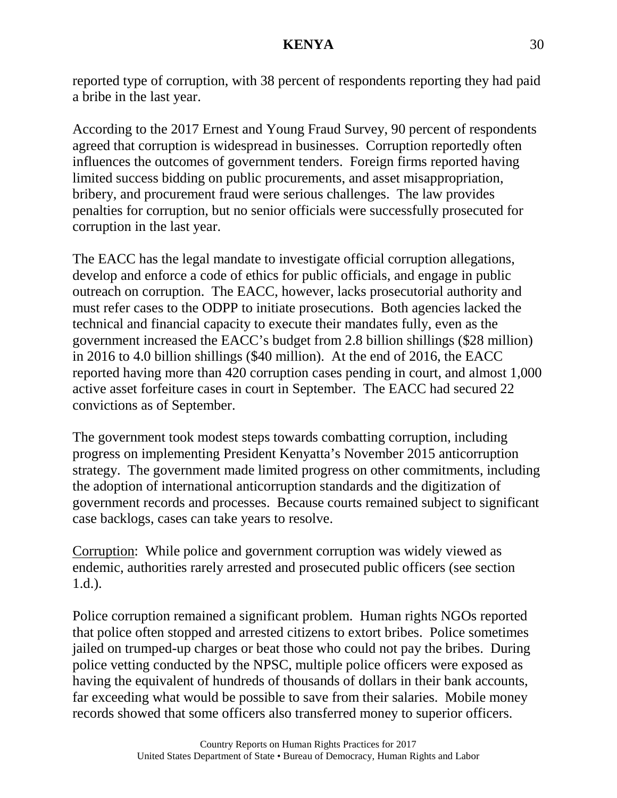reported type of corruption, with 38 percent of respondents reporting they had paid a bribe in the last year.

According to the 2017 Ernest and Young Fraud Survey, 90 percent of respondents agreed that corruption is widespread in businesses. Corruption reportedly often influences the outcomes of government tenders. Foreign firms reported having limited success bidding on public procurements, and asset misappropriation, bribery, and procurement fraud were serious challenges. The law provides penalties for corruption, but no senior officials were successfully prosecuted for corruption in the last year.

The EACC has the legal mandate to investigate official corruption allegations, develop and enforce a code of ethics for public officials, and engage in public outreach on corruption. The EACC, however, lacks prosecutorial authority and must refer cases to the ODPP to initiate prosecutions. Both agencies lacked the technical and financial capacity to execute their mandates fully, even as the government increased the EACC's budget from 2.8 billion shillings (\$28 million) in 2016 to 4.0 billion shillings (\$40 million). At the end of 2016, the EACC reported having more than 420 corruption cases pending in court, and almost 1,000 active asset forfeiture cases in court in September. The EACC had secured 22 convictions as of September.

The government took modest steps towards combatting corruption, including progress on implementing President Kenyatta's November 2015 anticorruption strategy. The government made limited progress on other commitments, including the adoption of international anticorruption standards and the digitization of government records and processes. Because courts remained subject to significant case backlogs, cases can take years to resolve.

Corruption: While police and government corruption was widely viewed as endemic, authorities rarely arrested and prosecuted public officers (see section 1.d.).

Police corruption remained a significant problem. Human rights NGOs reported that police often stopped and arrested citizens to extort bribes. Police sometimes jailed on trumped-up charges or beat those who could not pay the bribes. During police vetting conducted by the NPSC, multiple police officers were exposed as having the equivalent of hundreds of thousands of dollars in their bank accounts, far exceeding what would be possible to save from their salaries. Mobile money records showed that some officers also transferred money to superior officers.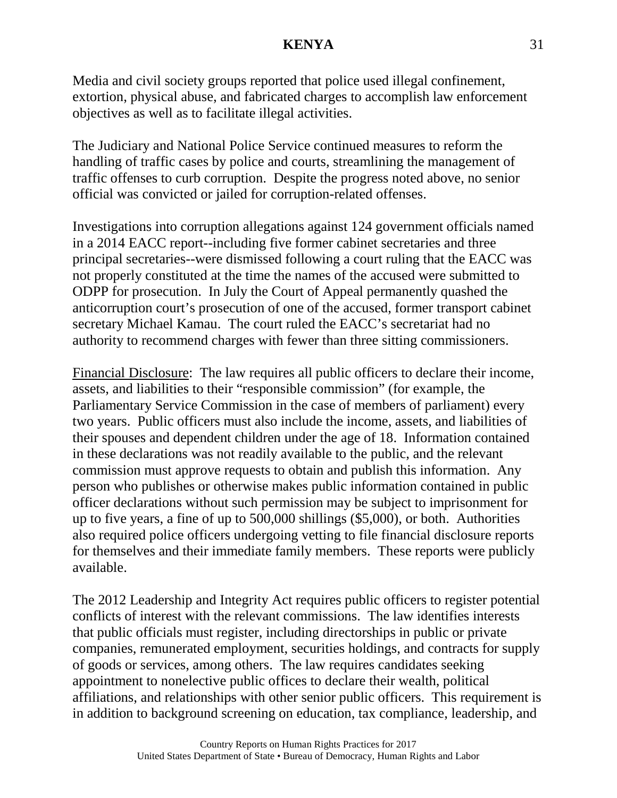Media and civil society groups reported that police used illegal confinement, extortion, physical abuse, and fabricated charges to accomplish law enforcement objectives as well as to facilitate illegal activities.

The Judiciary and National Police Service continued measures to reform the handling of traffic cases by police and courts, streamlining the management of traffic offenses to curb corruption. Despite the progress noted above, no senior official was convicted or jailed for corruption-related offenses.

Investigations into corruption allegations against 124 government officials named in a 2014 EACC report--including five former cabinet secretaries and three principal secretaries--were dismissed following a court ruling that the EACC was not properly constituted at the time the names of the accused were submitted to ODPP for prosecution. In July the Court of Appeal permanently quashed the anticorruption court's prosecution of one of the accused, former transport cabinet secretary Michael Kamau. The court ruled the EACC's secretariat had no authority to recommend charges with fewer than three sitting commissioners.

Financial Disclosure: The law requires all public officers to declare their income, assets, and liabilities to their "responsible commission" (for example, the Parliamentary Service Commission in the case of members of parliament) every two years. Public officers must also include the income, assets, and liabilities of their spouses and dependent children under the age of 18. Information contained in these declarations was not readily available to the public, and the relevant commission must approve requests to obtain and publish this information. Any person who publishes or otherwise makes public information contained in public officer declarations without such permission may be subject to imprisonment for up to five years, a fine of up to 500,000 shillings (\$5,000), or both. Authorities also required police officers undergoing vetting to file financial disclosure reports for themselves and their immediate family members. These reports were publicly available.

The 2012 Leadership and Integrity Act requires public officers to register potential conflicts of interest with the relevant commissions. The law identifies interests that public officials must register, including directorships in public or private companies, remunerated employment, securities holdings, and contracts for supply of goods or services, among others. The law requires candidates seeking appointment to nonelective public offices to declare their wealth, political affiliations, and relationships with other senior public officers. This requirement is in addition to background screening on education, tax compliance, leadership, and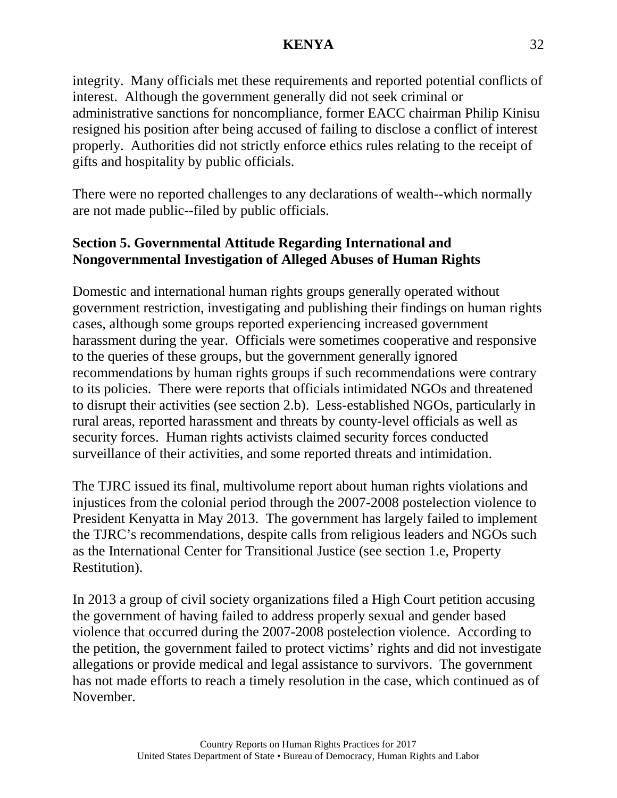integrity. Many officials met these requirements and reported potential conflicts of interest. Although the government generally did not seek criminal or administrative sanctions for noncompliance, former EACC chairman Philip Kinisu resigned his position after being accused of failing to disclose a conflict of interest properly. Authorities did not strictly enforce ethics rules relating to the receipt of gifts and hospitality by public officials.

There were no reported challenges to any declarations of wealth--which normally are not made public--filed by public officials.

# **Section 5. Governmental Attitude Regarding International and Nongovernmental Investigation of Alleged Abuses of Human Rights**

Domestic and international human rights groups generally operated without government restriction, investigating and publishing their findings on human rights cases, although some groups reported experiencing increased government harassment during the year. Officials were sometimes cooperative and responsive to the queries of these groups, but the government generally ignored recommendations by human rights groups if such recommendations were contrary to its policies. There were reports that officials intimidated NGOs and threatened to disrupt their activities (see section 2.b). Less-established NGOs, particularly in rural areas, reported harassment and threats by county-level officials as well as security forces. Human rights activists claimed security forces conducted surveillance of their activities, and some reported threats and intimidation.

The TJRC issued its final, multivolume report about human rights violations and injustices from the colonial period through the 2007-2008 postelection violence to President Kenyatta in May 2013. The government has largely failed to implement the TJRC's recommendations, despite calls from religious leaders and NGOs such as the International Center for Transitional Justice (see section 1.e, Property Restitution).

In 2013 a group of civil society organizations filed a High Court petition accusing the government of having failed to address properly sexual and gender based violence that occurred during the 2007-2008 postelection violence. According to the petition, the government failed to protect victims' rights and did not investigate allegations or provide medical and legal assistance to survivors. The government has not made efforts to reach a timely resolution in the case, which continued as of November.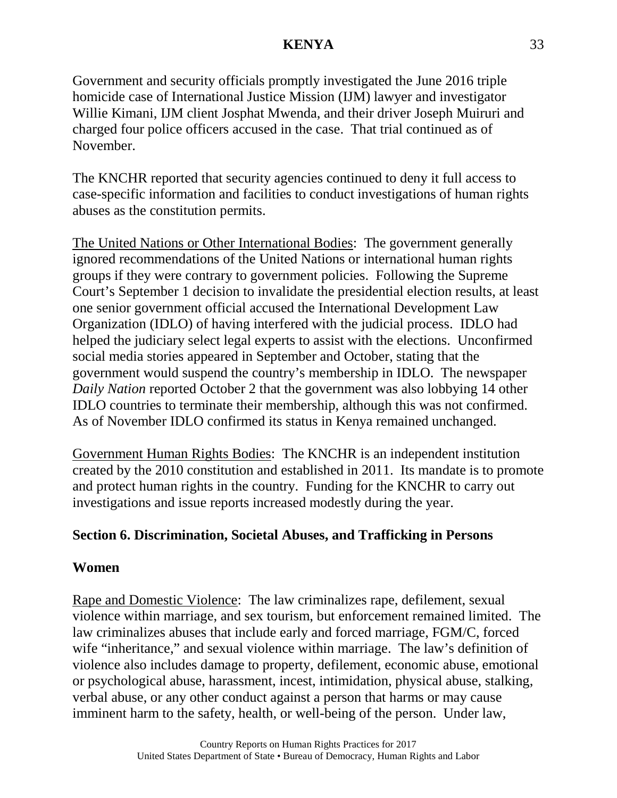Government and security officials promptly investigated the June 2016 triple homicide case of International Justice Mission (IJM) lawyer and investigator Willie Kimani, IJM client Josphat Mwenda, and their driver Joseph Muiruri and charged four police officers accused in the case. That trial continued as of November.

The KNCHR reported that security agencies continued to deny it full access to case-specific information and facilities to conduct investigations of human rights abuses as the constitution permits.

The United Nations or Other International Bodies: The government generally ignored recommendations of the United Nations or international human rights groups if they were contrary to government policies. Following the Supreme Court's September 1 decision to invalidate the presidential election results, at least one senior government official accused the International Development Law Organization (IDLO) of having interfered with the judicial process. IDLO had helped the judiciary select legal experts to assist with the elections. Unconfirmed social media stories appeared in September and October, stating that the government would suspend the country's membership in IDLO. The newspaper *Daily Nation* reported October 2 that the government was also lobbying 14 other IDLO countries to terminate their membership, although this was not confirmed. As of November IDLO confirmed its status in Kenya remained unchanged.

Government Human Rights Bodies: The KNCHR is an independent institution created by the 2010 constitution and established in 2011. Its mandate is to promote and protect human rights in the country. Funding for the KNCHR to carry out investigations and issue reports increased modestly during the year.

# **Section 6. Discrimination, Societal Abuses, and Trafficking in Persons**

# **Women**

Rape and Domestic Violence: The law criminalizes rape, defilement, sexual violence within marriage, and sex tourism, but enforcement remained limited. The law criminalizes abuses that include early and forced marriage, FGM/C, forced wife "inheritance," and sexual violence within marriage. The law's definition of violence also includes damage to property, defilement, economic abuse, emotional or psychological abuse, harassment, incest, intimidation, physical abuse, stalking, verbal abuse, or any other conduct against a person that harms or may cause imminent harm to the safety, health, or well-being of the person. Under law,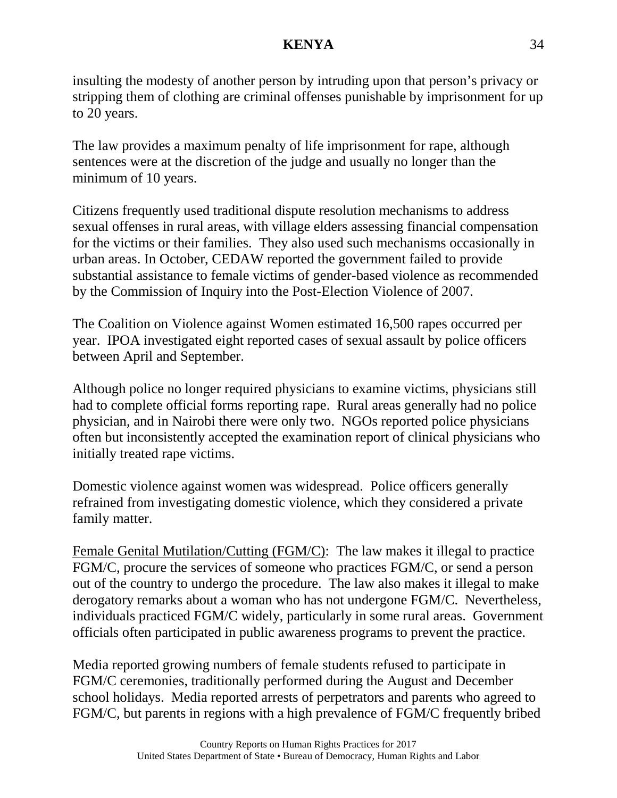insulting the modesty of another person by intruding upon that person's privacy or stripping them of clothing are criminal offenses punishable by imprisonment for up to 20 years.

The law provides a maximum penalty of life imprisonment for rape, although sentences were at the discretion of the judge and usually no longer than the minimum of 10 years.

Citizens frequently used traditional dispute resolution mechanisms to address sexual offenses in rural areas, with village elders assessing financial compensation for the victims or their families. They also used such mechanisms occasionally in urban areas. In October, CEDAW reported the government failed to provide substantial assistance to female victims of gender-based violence as recommended by the Commission of Inquiry into the Post-Election Violence of 2007.

The Coalition on Violence against Women estimated 16,500 rapes occurred per year. IPOA investigated eight reported cases of sexual assault by police officers between April and September.

Although police no longer required physicians to examine victims, physicians still had to complete official forms reporting rape. Rural areas generally had no police physician, and in Nairobi there were only two. NGOs reported police physicians often but inconsistently accepted the examination report of clinical physicians who initially treated rape victims.

Domestic violence against women was widespread. Police officers generally refrained from investigating domestic violence, which they considered a private family matter.

Female Genital Mutilation/Cutting (FGM/C): The law makes it illegal to practice FGM/C, procure the services of someone who practices FGM/C, or send a person out of the country to undergo the procedure. The law also makes it illegal to make derogatory remarks about a woman who has not undergone FGM/C. Nevertheless, individuals practiced FGM/C widely, particularly in some rural areas. Government officials often participated in public awareness programs to prevent the practice.

Media reported growing numbers of female students refused to participate in FGM/C ceremonies, traditionally performed during the August and December school holidays. Media reported arrests of perpetrators and parents who agreed to FGM/C, but parents in regions with a high prevalence of FGM/C frequently bribed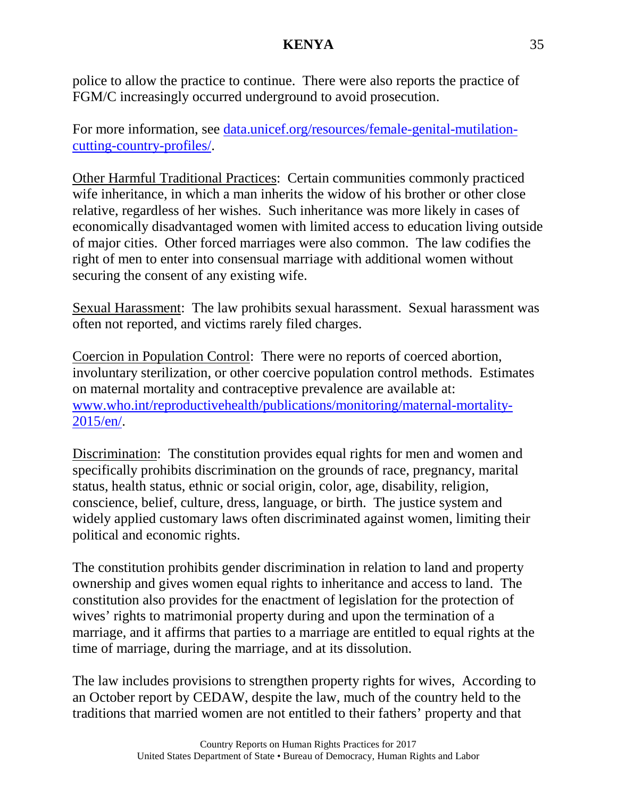police to allow the practice to continue. There were also reports the practice of FGM/C increasingly occurred underground to avoid prosecution.

For more information, see data.unicef.org/resources/female-genital-mutilationcutting-country-profiles/.

Other Harmful Traditional Practices: Certain communities commonly practiced wife inheritance, in which a man inherits the widow of his brother or other close relative, regardless of her wishes. Such inheritance was more likely in cases of economically disadvantaged women with limited access to education living outside of major cities. Other forced marriages were also common. The law codifies the right of men to enter into consensual marriage with additional women without securing the consent of any existing wife.

Sexual Harassment: The law prohibits sexual harassment. Sexual harassment was often not reported, and victims rarely filed charges.

Coercion in Population Control: There were no reports of coerced abortion, involuntary sterilization, or other coercive population control methods. Estimates on maternal mortality and contraceptive prevalence are available at: [www.who.int/reproductivehealth/publications/monitoring/maternal-mortality-](http://www.who.int/reproductivehealth/publications/monitoring/maternal-mortality-2015/en/)[2015/en/.](http://www.who.int/reproductivehealth/publications/monitoring/maternal-mortality-2015/en/)

Discrimination: The constitution provides equal rights for men and women and specifically prohibits discrimination on the grounds of race, pregnancy, marital status, health status, ethnic or social origin, color, age, disability, religion, conscience, belief, culture, dress, language, or birth. The justice system and widely applied customary laws often discriminated against women, limiting their political and economic rights.

The constitution prohibits gender discrimination in relation to land and property ownership and gives women equal rights to inheritance and access to land. The constitution also provides for the enactment of legislation for the protection of wives' rights to matrimonial property during and upon the termination of a marriage, and it affirms that parties to a marriage are entitled to equal rights at the time of marriage, during the marriage, and at its dissolution.

The law includes provisions to strengthen property rights for wives, According to an October report by CEDAW, despite the law, much of the country held to the traditions that married women are not entitled to their fathers' property and that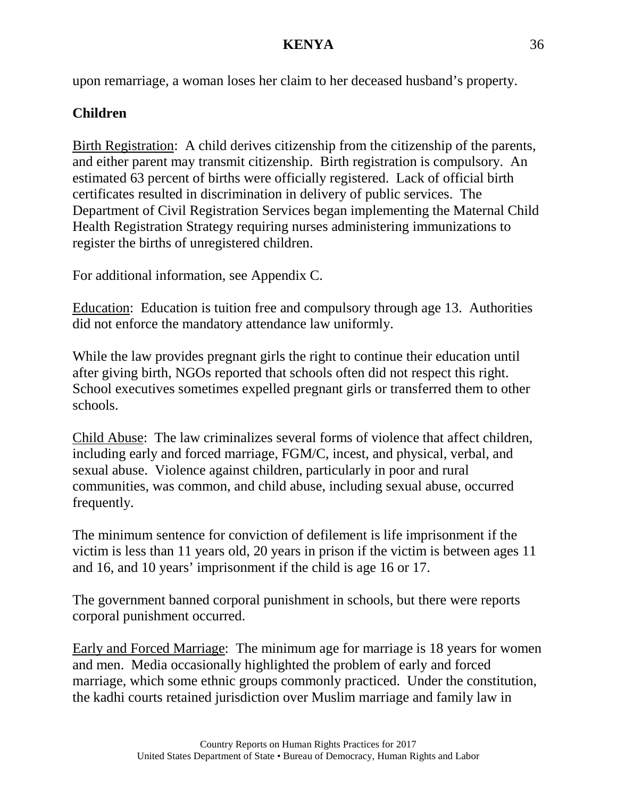upon remarriage, a woman loses her claim to her deceased husband's property.

# **Children**

Birth Registration: A child derives citizenship from the citizenship of the parents, and either parent may transmit citizenship. Birth registration is compulsory. An estimated 63 percent of births were officially registered. Lack of official birth certificates resulted in discrimination in delivery of public services. The Department of Civil Registration Services began implementing the Maternal Child Health Registration Strategy requiring nurses administering immunizations to register the births of unregistered children.

For additional information, see Appendix C.

Education: Education is tuition free and compulsory through age 13. Authorities did not enforce the mandatory attendance law uniformly.

While the law provides pregnant girls the right to continue their education until after giving birth, NGOs reported that schools often did not respect this right. School executives sometimes expelled pregnant girls or transferred them to other schools.

Child Abuse: The law criminalizes several forms of violence that affect children, including early and forced marriage, FGM/C, incest, and physical, verbal, and sexual abuse. Violence against children, particularly in poor and rural communities, was common, and child abuse, including sexual abuse, occurred frequently.

The minimum sentence for conviction of defilement is life imprisonment if the victim is less than 11 years old, 20 years in prison if the victim is between ages 11 and 16, and 10 years' imprisonment if the child is age 16 or 17.

The government banned corporal punishment in schools, but there were reports corporal punishment occurred.

Early and Forced Marriage: The minimum age for marriage is 18 years for women and men. Media occasionally highlighted the problem of early and forced marriage, which some ethnic groups commonly practiced. Under the constitution, the kadhi courts retained jurisdiction over Muslim marriage and family law in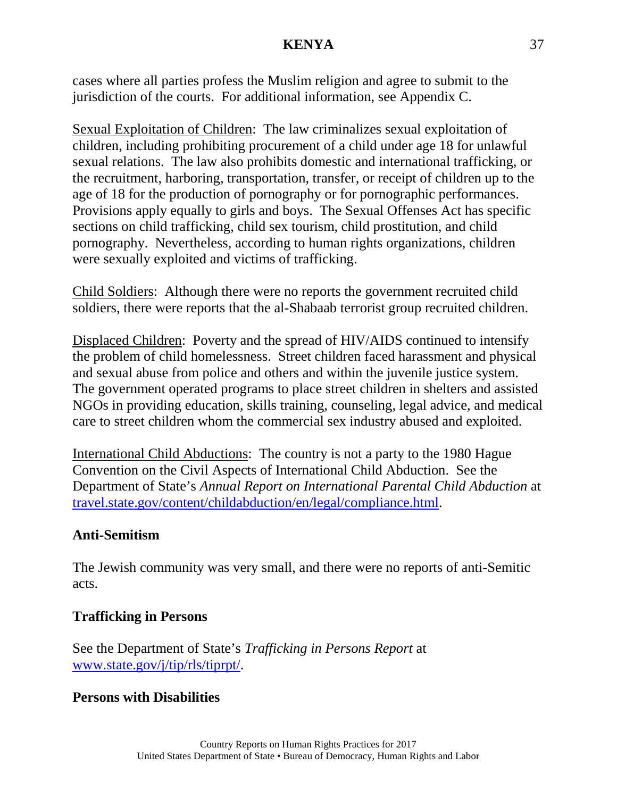cases where all parties profess the Muslim religion and agree to submit to the jurisdiction of the courts. For additional information, see Appendix C.

Sexual Exploitation of Children: The law criminalizes sexual exploitation of children, including prohibiting procurement of a child under age 18 for unlawful sexual relations. The law also prohibits domestic and international trafficking, or the recruitment, harboring, transportation, transfer, or receipt of children up to the age of 18 for the production of pornography or for pornographic performances. Provisions apply equally to girls and boys. The Sexual Offenses Act has specific sections on child trafficking, child sex tourism, child prostitution, and child pornography. Nevertheless, according to human rights organizations, children were sexually exploited and victims of trafficking.

Child Soldiers: Although there were no reports the government recruited child soldiers, there were reports that the al-Shabaab terrorist group recruited children.

Displaced Children: Poverty and the spread of HIV/AIDS continued to intensify the problem of child homelessness. Street children faced harassment and physical and sexual abuse from police and others and within the juvenile justice system. The government operated programs to place street children in shelters and assisted NGOs in providing education, skills training, counseling, legal advice, and medical care to street children whom the commercial sex industry abused and exploited.

International Child Abductions: The country is not a party to the 1980 Hague Convention on the Civil Aspects of International Child Abduction. See the Department of State's *Annual Report on International Parental Child Abduction* at [travel.state.gov/content/childabduction/en/legal/compliance.html.](http://travel.state.gov/content/childabduction/en/legal/compliance.html)

### **Anti-Semitism**

The Jewish community was very small, and there were no reports of anti-Semitic acts.

#### **Trafficking in Persons**

See the Department of State's *Trafficking in Persons Report* at [www.state.gov/j/tip/rls/tiprpt/.](http://www.state.gov/j/tip/rls/tiprpt/)

#### **Persons with Disabilities**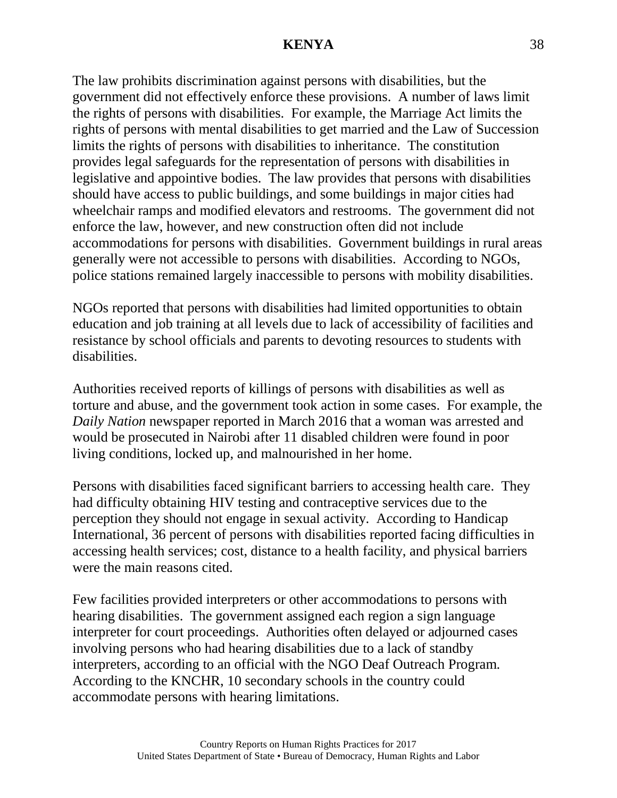The law prohibits discrimination against persons with disabilities, but the government did not effectively enforce these provisions. A number of laws limit the rights of persons with disabilities. For example, the Marriage Act limits the rights of persons with mental disabilities to get married and the Law of Succession limits the rights of persons with disabilities to inheritance. The constitution provides legal safeguards for the representation of persons with disabilities in legislative and appointive bodies. The law provides that persons with disabilities should have access to public buildings, and some buildings in major cities had wheelchair ramps and modified elevators and restrooms. The government did not enforce the law, however, and new construction often did not include accommodations for persons with disabilities. Government buildings in rural areas generally were not accessible to persons with disabilities. According to NGOs, police stations remained largely inaccessible to persons with mobility disabilities.

NGOs reported that persons with disabilities had limited opportunities to obtain education and job training at all levels due to lack of accessibility of facilities and resistance by school officials and parents to devoting resources to students with disabilities.

Authorities received reports of killings of persons with disabilities as well as torture and abuse, and the government took action in some cases. For example, the *Daily Nation* newspaper reported in March 2016 that a woman was arrested and would be prosecuted in Nairobi after 11 disabled children were found in poor living conditions, locked up, and malnourished in her home.

Persons with disabilities faced significant barriers to accessing health care. They had difficulty obtaining HIV testing and contraceptive services due to the perception they should not engage in sexual activity. According to Handicap International, 36 percent of persons with disabilities reported facing difficulties in accessing health services; cost, distance to a health facility, and physical barriers were the main reasons cited.

Few facilities provided interpreters or other accommodations to persons with hearing disabilities. The government assigned each region a sign language interpreter for court proceedings. Authorities often delayed or adjourned cases involving persons who had hearing disabilities due to a lack of standby interpreters, according to an official with the NGO Deaf Outreach Program. According to the KNCHR, 10 secondary schools in the country could accommodate persons with hearing limitations.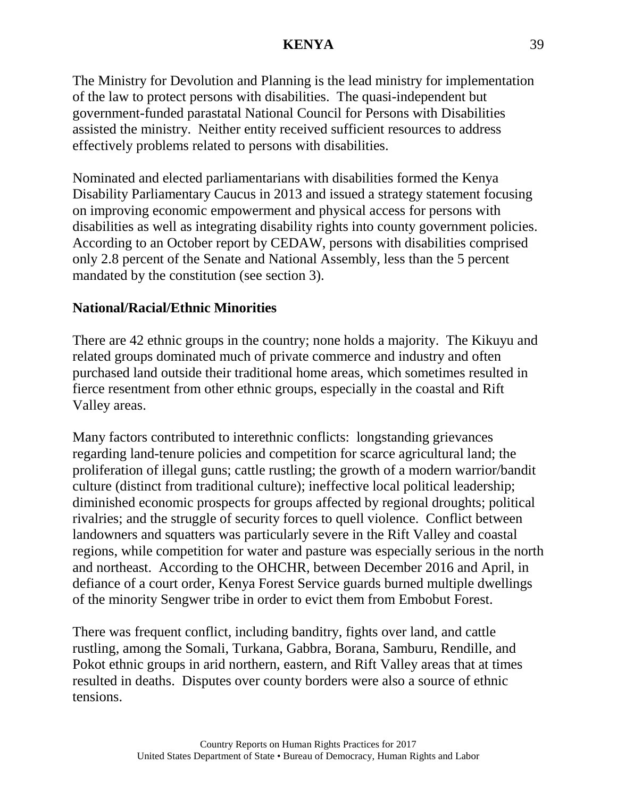The Ministry for Devolution and Planning is the lead ministry for implementation of the law to protect persons with disabilities. The quasi-independent but government-funded parastatal National Council for Persons with Disabilities assisted the ministry. Neither entity received sufficient resources to address effectively problems related to persons with disabilities.

Nominated and elected parliamentarians with disabilities formed the Kenya Disability Parliamentary Caucus in 2013 and issued a strategy statement focusing on improving economic empowerment and physical access for persons with disabilities as well as integrating disability rights into county government policies. According to an October report by CEDAW, persons with disabilities comprised only 2.8 percent of the Senate and National Assembly, less than the 5 percent mandated by the constitution (see section 3).

# **National/Racial/Ethnic Minorities**

There are 42 ethnic groups in the country; none holds a majority. The Kikuyu and related groups dominated much of private commerce and industry and often purchased land outside their traditional home areas, which sometimes resulted in fierce resentment from other ethnic groups, especially in the coastal and Rift Valley areas.

Many factors contributed to interethnic conflicts: longstanding grievances regarding land-tenure policies and competition for scarce agricultural land; the proliferation of illegal guns; cattle rustling; the growth of a modern warrior/bandit culture (distinct from traditional culture); ineffective local political leadership; diminished economic prospects for groups affected by regional droughts; political rivalries; and the struggle of security forces to quell violence. Conflict between landowners and squatters was particularly severe in the Rift Valley and coastal regions, while competition for water and pasture was especially serious in the north and northeast. According to the OHCHR, between December 2016 and April, in defiance of a court order, Kenya Forest Service guards burned multiple dwellings of the minority Sengwer tribe in order to evict them from Embobut Forest.

There was frequent conflict, including banditry, fights over land, and cattle rustling, among the Somali, Turkana, Gabbra, Borana, Samburu, Rendille, and Pokot ethnic groups in arid northern, eastern, and Rift Valley areas that at times resulted in deaths. Disputes over county borders were also a source of ethnic tensions.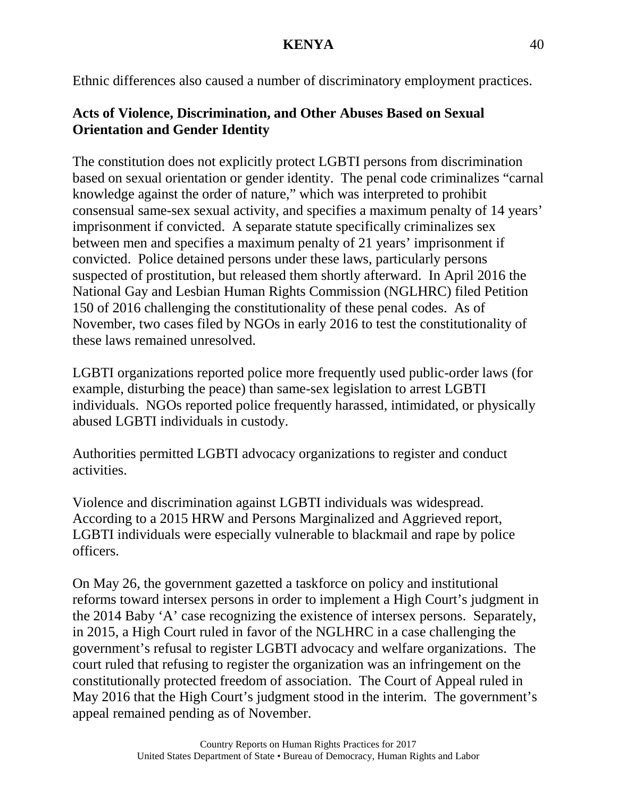Ethnic differences also caused a number of discriminatory employment practices.

# **Acts of Violence, Discrimination, and Other Abuses Based on Sexual Orientation and Gender Identity**

The constitution does not explicitly protect LGBTI persons from discrimination based on sexual orientation or gender identity. The penal code criminalizes "carnal knowledge against the order of nature," which was interpreted to prohibit consensual same-sex sexual activity, and specifies a maximum penalty of 14 years' imprisonment if convicted. A separate statute specifically criminalizes sex between men and specifies a maximum penalty of 21 years' imprisonment if convicted. Police detained persons under these laws, particularly persons suspected of prostitution, but released them shortly afterward. In April 2016 the National Gay and Lesbian Human Rights Commission (NGLHRC) filed Petition 150 of 2016 challenging the constitutionality of these penal codes. As of November, two cases filed by NGOs in early 2016 to test the constitutionality of these laws remained unresolved.

LGBTI organizations reported police more frequently used public-order laws (for example, disturbing the peace) than same-sex legislation to arrest LGBTI individuals. NGOs reported police frequently harassed, intimidated, or physically abused LGBTI individuals in custody.

Authorities permitted LGBTI advocacy organizations to register and conduct activities.

Violence and discrimination against LGBTI individuals was widespread. According to a 2015 HRW and Persons Marginalized and Aggrieved report, LGBTI individuals were especially vulnerable to blackmail and rape by police officers.

On May 26, the government gazetted a taskforce on policy and institutional reforms toward intersex persons in order to implement a High Court's judgment in the 2014 Baby 'A' case recognizing the existence of intersex persons. Separately, in 2015, a High Court ruled in favor of the NGLHRC in a case challenging the government's refusal to register LGBTI advocacy and welfare organizations. The court ruled that refusing to register the organization was an infringement on the constitutionally protected freedom of association. The Court of Appeal ruled in May 2016 that the High Court's judgment stood in the interim. The government's appeal remained pending as of November.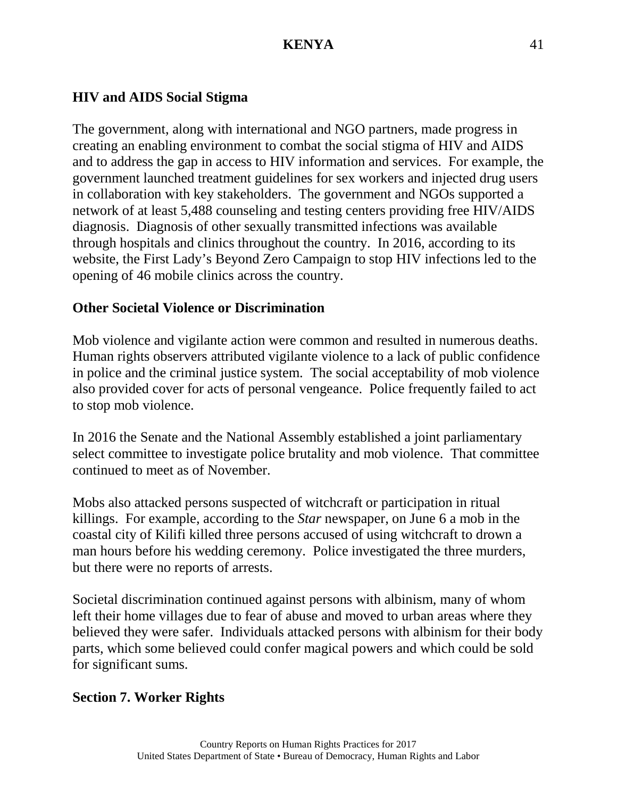# **HIV and AIDS Social Stigma**

The government, along with international and NGO partners, made progress in creating an enabling environment to combat the social stigma of HIV and AIDS and to address the gap in access to HIV information and services. For example, the government launched treatment guidelines for sex workers and injected drug users in collaboration with key stakeholders. The government and NGOs supported a network of at least 5,488 counseling and testing centers providing free HIV/AIDS diagnosis. Diagnosis of other sexually transmitted infections was available through hospitals and clinics throughout the country. In 2016, according to its website, the First Lady's Beyond Zero Campaign to stop HIV infections led to the opening of 46 mobile clinics across the country.

# **Other Societal Violence or Discrimination**

Mob violence and vigilante action were common and resulted in numerous deaths. Human rights observers attributed vigilante violence to a lack of public confidence in police and the criminal justice system. The social acceptability of mob violence also provided cover for acts of personal vengeance. Police frequently failed to act to stop mob violence.

In 2016 the Senate and the National Assembly established a joint parliamentary select committee to investigate police brutality and mob violence. That committee continued to meet as of November.

Mobs also attacked persons suspected of witchcraft or participation in ritual killings. For example, according to the *Star* newspaper, on June 6 a mob in the coastal city of Kilifi killed three persons accused of using witchcraft to drown a man hours before his wedding ceremony. Police investigated the three murders, but there were no reports of arrests.

Societal discrimination continued against persons with albinism, many of whom left their home villages due to fear of abuse and moved to urban areas where they believed they were safer. Individuals attacked persons with albinism for their body parts, which some believed could confer magical powers and which could be sold for significant sums.

# **Section 7. Worker Rights**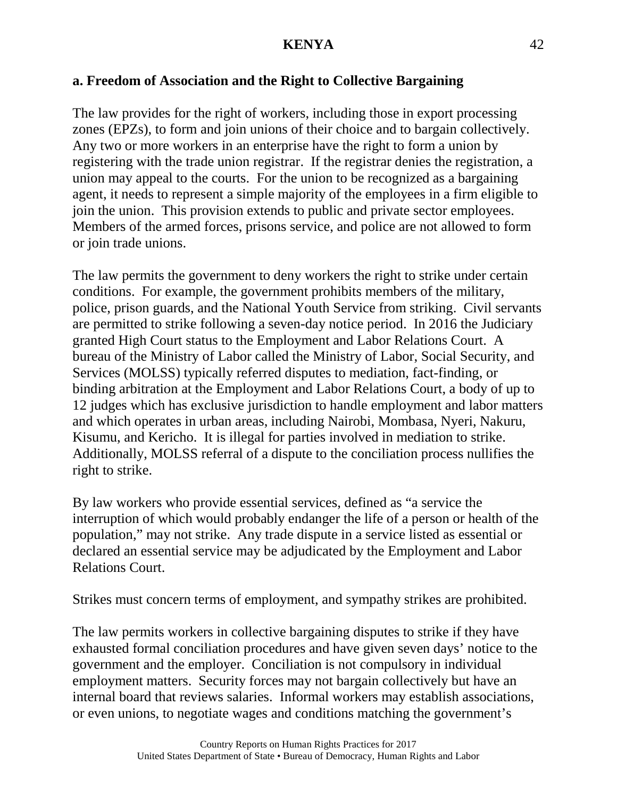### **a. Freedom of Association and the Right to Collective Bargaining**

The law provides for the right of workers, including those in export processing zones (EPZs), to form and join unions of their choice and to bargain collectively. Any two or more workers in an enterprise have the right to form a union by registering with the trade union registrar. If the registrar denies the registration, a union may appeal to the courts. For the union to be recognized as a bargaining agent, it needs to represent a simple majority of the employees in a firm eligible to join the union. This provision extends to public and private sector employees. Members of the armed forces, prisons service, and police are not allowed to form or join trade unions.

The law permits the government to deny workers the right to strike under certain conditions. For example, the government prohibits members of the military, police, prison guards, and the National Youth Service from striking. Civil servants are permitted to strike following a seven-day notice period. In 2016 the Judiciary granted High Court status to the Employment and Labor Relations Court. A bureau of the Ministry of Labor called the Ministry of Labor, Social Security, and Services (MOLSS) typically referred disputes to mediation, fact-finding, or binding arbitration at the Employment and Labor Relations Court, a body of up to 12 judges which has exclusive jurisdiction to handle employment and labor matters and which operates in urban areas, including Nairobi, Mombasa, Nyeri, Nakuru, Kisumu, and Kericho. It is illegal for parties involved in mediation to strike. Additionally, MOLSS referral of a dispute to the conciliation process nullifies the right to strike.

By law workers who provide essential services, defined as "a service the interruption of which would probably endanger the life of a person or health of the population," may not strike. Any trade dispute in a service listed as essential or declared an essential service may be adjudicated by the Employment and Labor Relations Court.

Strikes must concern terms of employment, and sympathy strikes are prohibited.

The law permits workers in collective bargaining disputes to strike if they have exhausted formal conciliation procedures and have given seven days' notice to the government and the employer. Conciliation is not compulsory in individual employment matters. Security forces may not bargain collectively but have an internal board that reviews salaries. Informal workers may establish associations, or even unions, to negotiate wages and conditions matching the government's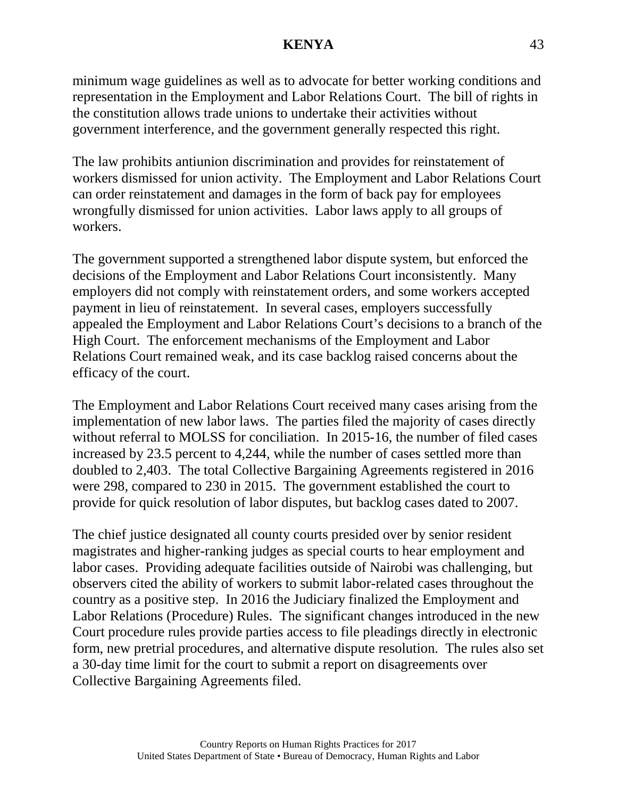minimum wage guidelines as well as to advocate for better working conditions and representation in the Employment and Labor Relations Court. The bill of rights in the constitution allows trade unions to undertake their activities without government interference, and the government generally respected this right.

The law prohibits antiunion discrimination and provides for reinstatement of workers dismissed for union activity. The Employment and Labor Relations Court can order reinstatement and damages in the form of back pay for employees wrongfully dismissed for union activities. Labor laws apply to all groups of workers.

The government supported a strengthened labor dispute system, but enforced the decisions of the Employment and Labor Relations Court inconsistently. Many employers did not comply with reinstatement orders, and some workers accepted payment in lieu of reinstatement. In several cases, employers successfully appealed the Employment and Labor Relations Court's decisions to a branch of the High Court. The enforcement mechanisms of the Employment and Labor Relations Court remained weak, and its case backlog raised concerns about the efficacy of the court.

The Employment and Labor Relations Court received many cases arising from the implementation of new labor laws. The parties filed the majority of cases directly without referral to MOLSS for conciliation. In 2015-16, the number of filed cases increased by 23.5 percent to 4,244, while the number of cases settled more than doubled to 2,403. The total Collective Bargaining Agreements registered in 2016 were 298, compared to 230 in 2015. The government established the court to provide for quick resolution of labor disputes, but backlog cases dated to 2007.

The chief justice designated all county courts presided over by senior resident magistrates and higher-ranking judges as special courts to hear employment and labor cases. Providing adequate facilities outside of Nairobi was challenging, but observers cited the ability of workers to submit labor-related cases throughout the country as a positive step. In 2016 the Judiciary finalized the Employment and Labor Relations (Procedure) Rules. The significant changes introduced in the new Court procedure rules provide parties access to file pleadings directly in electronic form, new pretrial procedures, and alternative dispute resolution. The rules also set a 30-day time limit for the court to submit a report on disagreements over Collective Bargaining Agreements filed.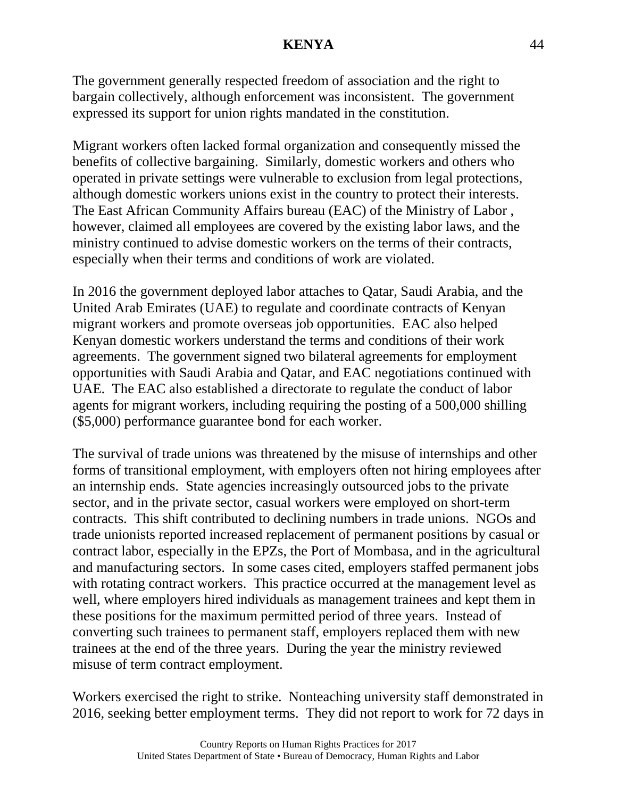The government generally respected freedom of association and the right to bargain collectively, although enforcement was inconsistent. The government expressed its support for union rights mandated in the constitution.

Migrant workers often lacked formal organization and consequently missed the benefits of collective bargaining. Similarly, domestic workers and others who operated in private settings were vulnerable to exclusion from legal protections, although domestic workers unions exist in the country to protect their interests. The East African Community Affairs bureau (EAC) of the Ministry of Labor , however, claimed all employees are covered by the existing labor laws, and the ministry continued to advise domestic workers on the terms of their contracts, especially when their terms and conditions of work are violated.

In 2016 the government deployed labor attaches to Qatar, Saudi Arabia, and the United Arab Emirates (UAE) to regulate and coordinate contracts of Kenyan migrant workers and promote overseas job opportunities. EAC also helped Kenyan domestic workers understand the terms and conditions of their work agreements. The government signed two bilateral agreements for employment opportunities with Saudi Arabia and Qatar, and EAC negotiations continued with UAE. The EAC also established a directorate to regulate the conduct of labor agents for migrant workers, including requiring the posting of a 500,000 shilling (\$5,000) performance guarantee bond for each worker.

The survival of trade unions was threatened by the misuse of internships and other forms of transitional employment, with employers often not hiring employees after an internship ends. State agencies increasingly outsourced jobs to the private sector, and in the private sector, casual workers were employed on short-term contracts. This shift contributed to declining numbers in trade unions. NGOs and trade unionists reported increased replacement of permanent positions by casual or contract labor, especially in the EPZs, the Port of Mombasa, and in the agricultural and manufacturing sectors. In some cases cited, employers staffed permanent jobs with rotating contract workers. This practice occurred at the management level as well, where employers hired individuals as management trainees and kept them in these positions for the maximum permitted period of three years. Instead of converting such trainees to permanent staff, employers replaced them with new trainees at the end of the three years. During the year the ministry reviewed misuse of term contract employment.

Workers exercised the right to strike. Nonteaching university staff demonstrated in 2016, seeking better employment terms. They did not report to work for 72 days in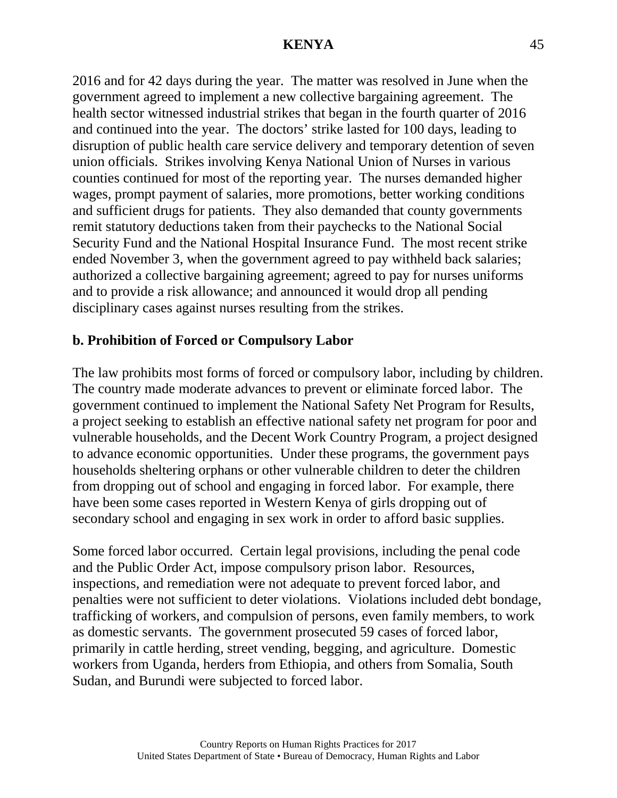2016 and for 42 days during the year. The matter was resolved in June when the government agreed to implement a new collective bargaining agreement. The health sector witnessed industrial strikes that began in the fourth quarter of 2016 and continued into the year. The doctors' strike lasted for 100 days, leading to disruption of public health care service delivery and temporary detention of seven union officials. Strikes involving Kenya National Union of Nurses in various counties continued for most of the reporting year. The nurses demanded higher wages, prompt payment of salaries, more promotions, better working conditions and sufficient drugs for patients. They also demanded that county governments remit statutory deductions taken from their paychecks to the National Social Security Fund and the National Hospital Insurance Fund. The most recent strike ended November 3, when the government agreed to pay withheld back salaries; authorized a collective bargaining agreement; agreed to pay for nurses uniforms and to provide a risk allowance; and announced it would drop all pending disciplinary cases against nurses resulting from the strikes.

### **b. Prohibition of Forced or Compulsory Labor**

The law prohibits most forms of forced or compulsory labor, including by children. The country made moderate advances to prevent or eliminate forced labor. The government continued to implement the National Safety Net Program for Results, a project seeking to establish an effective national safety net program for poor and vulnerable households, and the Decent Work Country Program, a project designed to advance economic opportunities. Under these programs, the government pays households sheltering orphans or other vulnerable children to deter the children from dropping out of school and engaging in forced labor. For example, there have been some cases reported in Western Kenya of girls dropping out of secondary school and engaging in sex work in order to afford basic supplies.

Some forced labor occurred. Certain legal provisions, including the penal code and the Public Order Act, impose compulsory prison labor. Resources, inspections, and remediation were not adequate to prevent forced labor, and penalties were not sufficient to deter violations. Violations included debt bondage, trafficking of workers, and compulsion of persons, even family members, to work as domestic servants. The government prosecuted 59 cases of forced labor, primarily in cattle herding, street vending, begging, and agriculture. Domestic workers from Uganda, herders from Ethiopia, and others from Somalia, South Sudan, and Burundi were subjected to forced labor.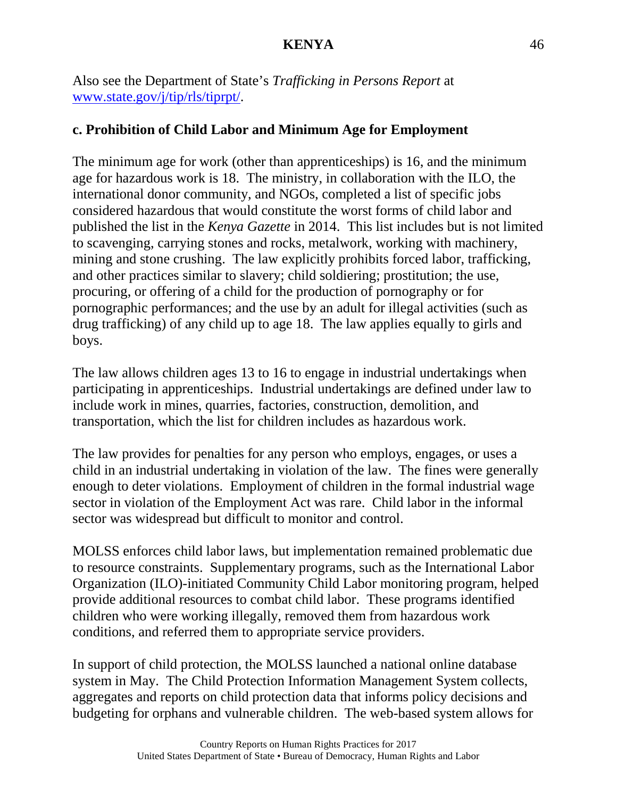Also see the Department of State's *Trafficking in Persons Report* at [www.state.gov/j/tip/rls/tiprpt/.](http://www.state.gov/j/tip/rls/tiprpt/)

### **c. Prohibition of Child Labor and Minimum Age for Employment**

The minimum age for work (other than apprenticeships) is 16, and the minimum age for hazardous work is 18. The ministry, in collaboration with the ILO, the international donor community, and NGOs, completed a list of specific jobs considered hazardous that would constitute the worst forms of child labor and published the list in the *Kenya Gazette* in 2014. This list includes but is not limited to scavenging, carrying stones and rocks, metalwork, working with machinery, mining and stone crushing. The law explicitly prohibits forced labor, trafficking, and other practices similar to slavery; child soldiering; prostitution; the use, procuring, or offering of a child for the production of pornography or for pornographic performances; and the use by an adult for illegal activities (such as drug trafficking) of any child up to age 18. The law applies equally to girls and boys.

The law allows children ages 13 to 16 to engage in industrial undertakings when participating in apprenticeships. Industrial undertakings are defined under law to include work in mines, quarries, factories, construction, demolition, and transportation, which the list for children includes as hazardous work.

The law provides for penalties for any person who employs, engages, or uses a child in an industrial undertaking in violation of the law. The fines were generally enough to deter violations. Employment of children in the formal industrial wage sector in violation of the Employment Act was rare. Child labor in the informal sector was widespread but difficult to monitor and control.

MOLSS enforces child labor laws, but implementation remained problematic due to resource constraints. Supplementary programs, such as the International Labor Organization (ILO)-initiated Community Child Labor monitoring program, helped provide additional resources to combat child labor. These programs identified children who were working illegally, removed them from hazardous work conditions, and referred them to appropriate service providers.

In support of child protection, the MOLSS launched a national online database system in May. The Child Protection Information Management System collects, aggregates and reports on child protection data that informs policy decisions and budgeting for orphans and vulnerable children. The web-based system allows for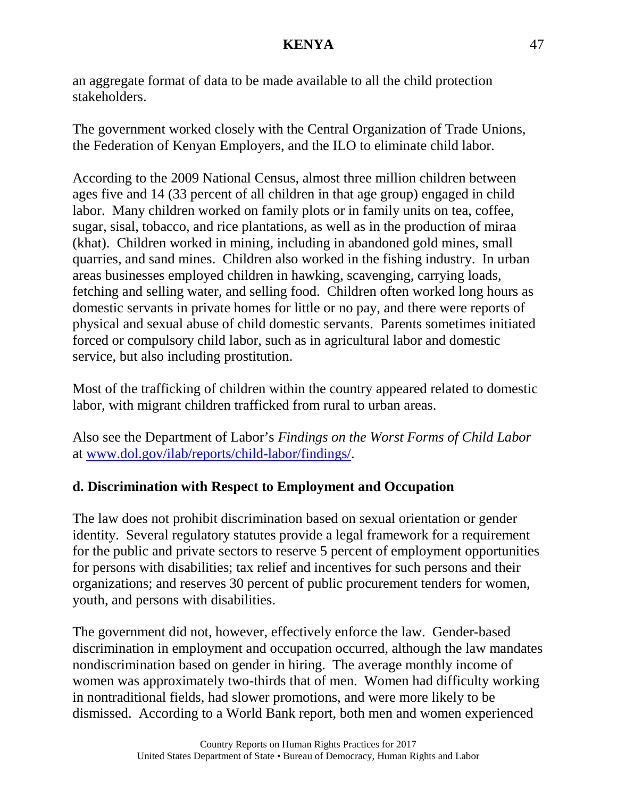an aggregate format of data to be made available to all the child protection stakeholders.

The government worked closely with the Central Organization of Trade Unions, the Federation of Kenyan Employers, and the ILO to eliminate child labor.

According to the 2009 National Census, almost three million children between ages five and 14 (33 percent of all children in that age group) engaged in child labor. Many children worked on family plots or in family units on tea, coffee, sugar, sisal, tobacco, and rice plantations, as well as in the production of miraa (khat). Children worked in mining, including in abandoned gold mines, small quarries, and sand mines. Children also worked in the fishing industry. In urban areas businesses employed children in hawking, scavenging, carrying loads, fetching and selling water, and selling food. Children often worked long hours as domestic servants in private homes for little or no pay, and there were reports of physical and sexual abuse of child domestic servants. Parents sometimes initiated forced or compulsory child labor, such as in agricultural labor and domestic service, but also including prostitution.

Most of the trafficking of children within the country appeared related to domestic labor, with migrant children trafficked from rural to urban areas.

Also see the Department of Labor's *Findings on the Worst Forms of Child Labor* at [www.dol.gov/ilab/reports/child-labor/findings/.](http://www.dol.gov/ilab/reports/child-labor/findings/)

# **d. Discrimination with Respect to Employment and Occupation**

The law does not prohibit discrimination based on sexual orientation or gender identity. Several regulatory statutes provide a legal framework for a requirement for the public and private sectors to reserve 5 percent of employment opportunities for persons with disabilities; tax relief and incentives for such persons and their organizations; and reserves 30 percent of public procurement tenders for women, youth, and persons with disabilities.

The government did not, however, effectively enforce the law. Gender-based discrimination in employment and occupation occurred, although the law mandates nondiscrimination based on gender in hiring. The average monthly income of women was approximately two-thirds that of men. Women had difficulty working in nontraditional fields, had slower promotions, and were more likely to be dismissed. According to a World Bank report, both men and women experienced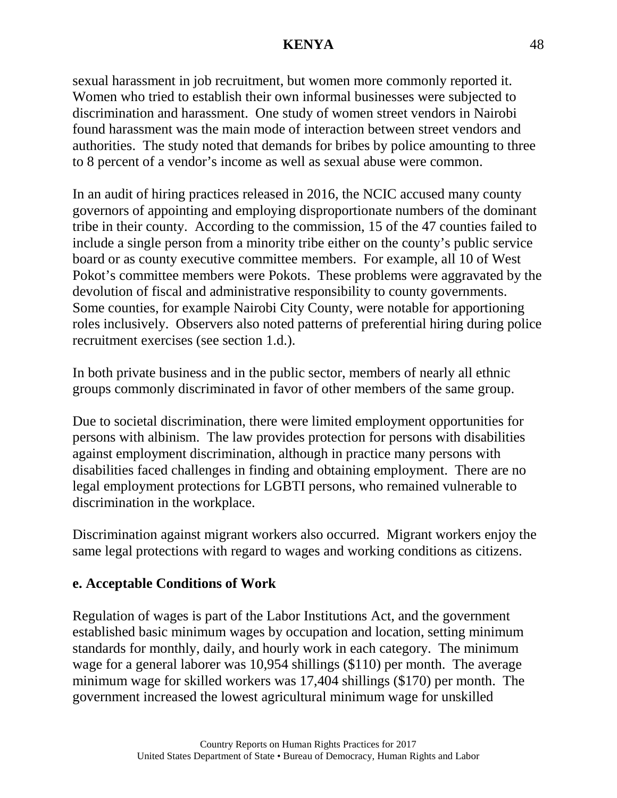sexual harassment in job recruitment, but women more commonly reported it. Women who tried to establish their own informal businesses were subjected to discrimination and harassment. One study of women street vendors in Nairobi found harassment was the main mode of interaction between street vendors and authorities. The study noted that demands for bribes by police amounting to three to 8 percent of a vendor's income as well as sexual abuse were common.

In an audit of hiring practices released in 2016, the NCIC accused many county governors of appointing and employing disproportionate numbers of the dominant tribe in their county. According to the commission, 15 of the 47 counties failed to include a single person from a minority tribe either on the county's public service board or as county executive committee members. For example, all 10 of West Pokot's committee members were Pokots. These problems were aggravated by the devolution of fiscal and administrative responsibility to county governments. Some counties, for example Nairobi City County, were notable for apportioning roles inclusively. Observers also noted patterns of preferential hiring during police recruitment exercises (see section 1.d.).

In both private business and in the public sector, members of nearly all ethnic groups commonly discriminated in favor of other members of the same group.

Due to societal discrimination, there were limited employment opportunities for persons with albinism. The law provides protection for persons with disabilities against employment discrimination, although in practice many persons with disabilities faced challenges in finding and obtaining employment. There are no legal employment protections for LGBTI persons, who remained vulnerable to discrimination in the workplace.

Discrimination against migrant workers also occurred. Migrant workers enjoy the same legal protections with regard to wages and working conditions as citizens.

# **e. Acceptable Conditions of Work**

Regulation of wages is part of the Labor Institutions Act, and the government established basic minimum wages by occupation and location, setting minimum standards for monthly, daily, and hourly work in each category. The minimum wage for a general laborer was 10,954 shillings (\$110) per month. The average minimum wage for skilled workers was 17,404 shillings (\$170) per month. The government increased the lowest agricultural minimum wage for unskilled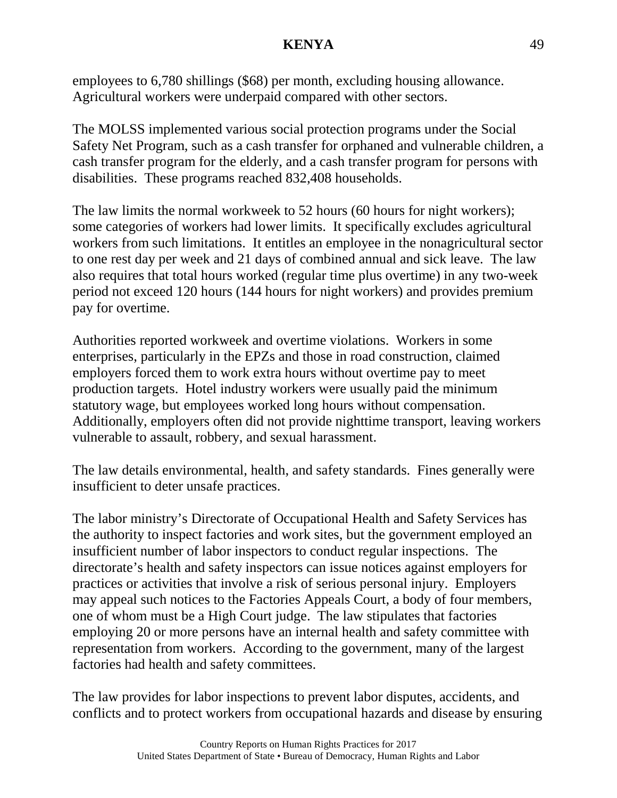employees to 6,780 shillings (\$68) per month, excluding housing allowance. Agricultural workers were underpaid compared with other sectors.

The MOLSS implemented various social protection programs under the Social Safety Net Program, such as a cash transfer for orphaned and vulnerable children, a cash transfer program for the elderly, and a cash transfer program for persons with disabilities. These programs reached 832,408 households.

The law limits the normal workweek to 52 hours (60 hours for night workers); some categories of workers had lower limits. It specifically excludes agricultural workers from such limitations. It entitles an employee in the nonagricultural sector to one rest day per week and 21 days of combined annual and sick leave. The law also requires that total hours worked (regular time plus overtime) in any two-week period not exceed 120 hours (144 hours for night workers) and provides premium pay for overtime.

Authorities reported workweek and overtime violations. Workers in some enterprises, particularly in the EPZs and those in road construction, claimed employers forced them to work extra hours without overtime pay to meet production targets. Hotel industry workers were usually paid the minimum statutory wage, but employees worked long hours without compensation. Additionally, employers often did not provide nighttime transport, leaving workers vulnerable to assault, robbery, and sexual harassment.

The law details environmental, health, and safety standards. Fines generally were insufficient to deter unsafe practices.

The labor ministry's Directorate of Occupational Health and Safety Services has the authority to inspect factories and work sites, but the government employed an insufficient number of labor inspectors to conduct regular inspections. The directorate's health and safety inspectors can issue notices against employers for practices or activities that involve a risk of serious personal injury. Employers may appeal such notices to the Factories Appeals Court, a body of four members, one of whom must be a High Court judge. The law stipulates that factories employing 20 or more persons have an internal health and safety committee with representation from workers. According to the government, many of the largest factories had health and safety committees.

The law provides for labor inspections to prevent labor disputes, accidents, and conflicts and to protect workers from occupational hazards and disease by ensuring